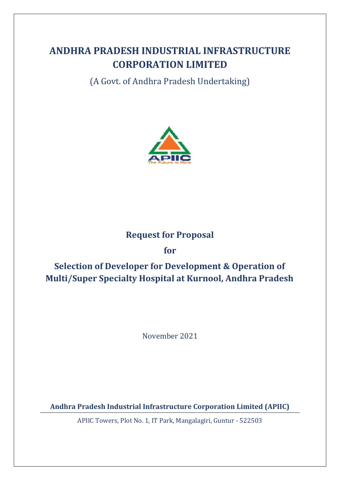# **ANDHRA PRADESH INDUSTRIAL INFRASTRUCTURE CORPORATION LIMITED**

(A Govt. of Andhra Pradesh Undertaking)



## **Request for Proposal**

## **for**

# **Selection of Developer for Development & Operation of Multi/Super Specialty Hospital at Kurnool, Andhra Pradesh**

November 2021

**Andhra Pradesh Industrial Infrastructure Corporation Limited (APIIC)**

APIIC Towers, Plot No. 1, IT Park, Mangalagiri, Guntur - 522503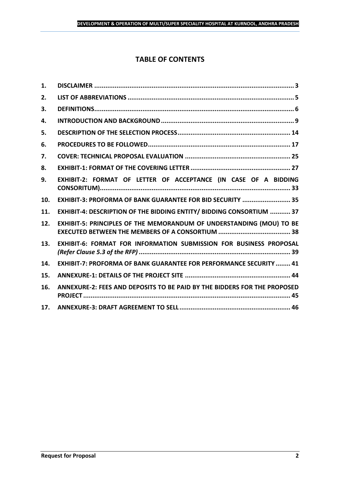## **TABLE OF CONTENTS**

| 1.  |                                                                           |
|-----|---------------------------------------------------------------------------|
| 2.  |                                                                           |
| 3.  |                                                                           |
| 4.  |                                                                           |
| 5.  |                                                                           |
| 6.  |                                                                           |
| 7.  |                                                                           |
| 8.  |                                                                           |
| 9.  | EXHIBIT-2: FORMAT OF LETTER OF ACCEPTANCE (IN CASE OF A BIDDING           |
| 10. | EXHIBIT-3: PROFORMA OF BANK GUARANTEE FOR BID SECURITY  35                |
| 11. | EXHIBIT-4: DESCRIPTION OF THE BIDDING ENTITY/ BIDDING CONSORTIUM  37      |
| 12. | EXHIBIT-5: PRINCIPLES OF THE MEMORANDUM OF UNDERSTANDING (MOU) TO BE      |
| 13. | <b>EXHIBIT-6: FORMAT FOR INFORMATION SUBMISSION FOR BUSINESS PROPOSAL</b> |
| 14. | <b>EXHIBIT-7: PROFORMA OF BANK GUARANTEE FOR PERFORMANCE SECURITY  41</b> |
| 15. |                                                                           |
| 16. | ANNEXURE-2: FEES AND DEPOSITS TO BE PAID BY THE BIDDERS FOR THE PROPOSED  |
| 17. |                                                                           |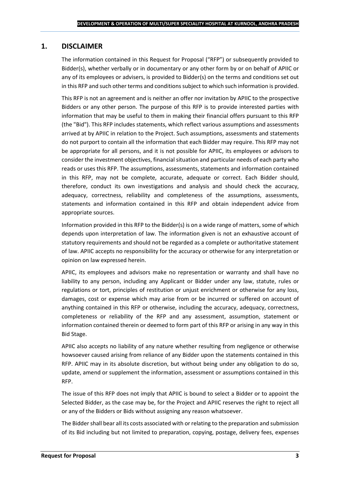## <span id="page-2-0"></span>**1. DISCLAIMER**

The information contained in this Request for Proposal ("RFP") or subsequently provided to Bidder(s), whether verbally or in documentary or any other form by or on behalf of APIIC or any of its employees or advisers, is provided to Bidder(s) on the terms and conditions set out in this RFP and such other terms and conditions subject to which such information is provided.

This RFP is not an agreement and is neither an offer nor invitation by APIIC to the prospective Bidders or any other person. The purpose of this RFP is to provide interested parties with information that may be useful to them in making their financial offers pursuant to this RFP (the "Bid"). This RFP includes statements, which reflect various assumptions and assessments arrived at by APIIC in relation to the Project. Such assumptions, assessments and statements do not purport to contain all the information that each Bidder may require. This RFP may not be appropriate for all persons, and it is not possible for APIIC, its employees or advisors to consider the investment objectives, financial situation and particular needs of each party who reads or uses this RFP. The assumptions, assessments, statements and information contained in this RFP, may not be complete, accurate, adequate or correct. Each Bidder should, therefore, conduct its own investigations and analysis and should check the accuracy, adequacy, correctness, reliability and completeness of the assumptions, assessments, statements and information contained in this RFP and obtain independent advice from appropriate sources.

Information provided in this RFP to the Bidder(s) is on a wide range of matters, some of which depends upon interpretation of law. The information given is not an exhaustive account of statutory requirements and should not be regarded as a complete or authoritative statement of law. APIIC accepts no responsibility for the accuracy or otherwise for any interpretation or opinion on law expressed herein.

APIIC, its employees and advisors make no representation or warranty and shall have no liability to any person, including any Applicant or Bidder under any law, statute, rules or regulations or tort, principles of restitution or unjust enrichment or otherwise for any loss, damages, cost or expense which may arise from or be incurred or suffered on account of anything contained in this RFP or otherwise, including the accuracy, adequacy, correctness, completeness or reliability of the RFP and any assessment, assumption, statement or information contained therein or deemed to form part of this RFP or arising in any way in this Bid Stage.

APIIC also accepts no liability of any nature whether resulting from negligence or otherwise howsoever caused arising from reliance of any Bidder upon the statements contained in this RFP. APIIC may in its absolute discretion, but without being under any obligation to do so, update, amend or supplement the information, assessment or assumptions contained in this RFP.

The issue of this RFP does not imply that APIIC is bound to select a Bidder or to appoint the Selected Bidder, as the case may be, for the Project and APIIC reserves the right to reject all or any of the Bidders or Bids without assigning any reason whatsoever.

The Bidder shall bear all its costs associated with or relating to the preparation and submission of its Bid including but not limited to preparation, copying, postage, delivery fees, expenses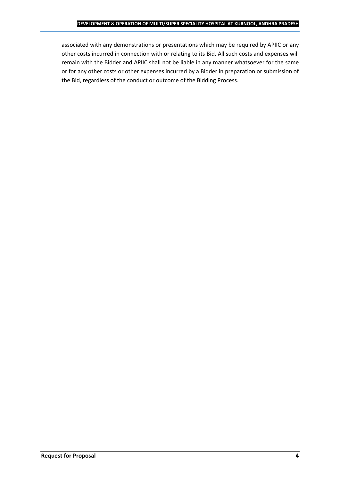associated with any demonstrations or presentations which may be required by APIIC or any other costs incurred in connection with or relating to its Bid. All such costs and expenses will remain with the Bidder and APIIC shall not be liable in any manner whatsoever for the same or for any other costs or other expenses incurred by a Bidder in preparation or submission of the Bid, regardless of the conduct or outcome of the Bidding Process.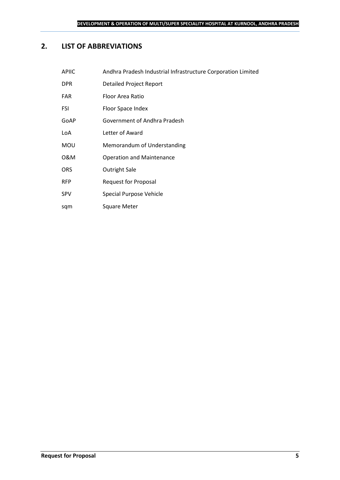## <span id="page-4-0"></span>**2. LIST OF ABBREVIATIONS**

sqm Square Meter

| <b>APIIC</b> | Andhra Pradesh Industrial Infrastructure Corporation Limited |
|--------------|--------------------------------------------------------------|
| <b>DPR</b>   | Detailed Project Report                                      |
| <b>FAR</b>   | Floor Area Ratio                                             |
| FSI          | Floor Space Index                                            |
| GoAP         | Government of Andhra Pradesh                                 |
| LoA          | Letter of Award                                              |
| <b>MOU</b>   | Memorandum of Understanding                                  |
| 0&M          | <b>Operation and Maintenance</b>                             |
| <b>ORS</b>   | <b>Outright Sale</b>                                         |
| <b>RFP</b>   | <b>Request for Proposal</b>                                  |
| <b>SPV</b>   | Special Purpose Vehicle                                      |

**Request for Proposal 5**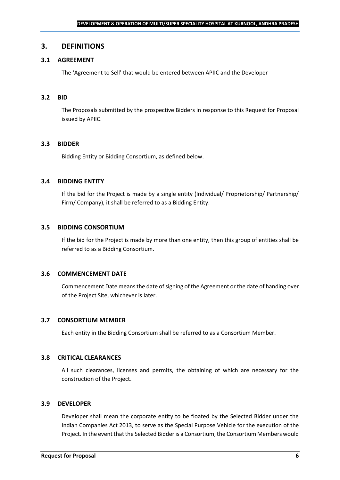### <span id="page-5-0"></span>**3. DEFINITIONS**

## **3.1 AGREEMENT**

The 'Agreement to Sell' that would be entered between APIIC and the Developer

#### **3.2 BID**

The Proposals submitted by the prospective Bidders in response to this Request for Proposal issued by APIIC.

#### **3.3 BIDDER**

Bidding Entity or Bidding Consortium, as defined below.

#### **3.4 BIDDING ENTITY**

If the bid for the Project is made by a single entity (Individual/ Proprietorship/ Partnership/ Firm/ Company), it shall be referred to as a Bidding Entity.

#### **3.5 BIDDING CONSORTIUM**

If the bid for the Project is made by more than one entity, then this group of entities shall be referred to as a Bidding Consortium.

#### **3.6 COMMENCEMENT DATE**

Commencement Date means the date of signing of the Agreement or the date of handing over of the Project Site, whichever is later.

#### **3.7 CONSORTIUM MEMBER**

Each entity in the Bidding Consortium shall be referred to as a Consortium Member.

### **3.8 CRITICAL CLEARANCES**

All such clearances, licenses and permits, the obtaining of which are necessary for the construction of the Project.

#### **3.9 DEVELOPER**

Developer shall mean the corporate entity to be floated by the Selected Bidder under the Indian Companies Act 2013, to serve as the Special Purpose Vehicle for the execution of the Project. In the event that the Selected Bidder is a Consortium, the Consortium Members would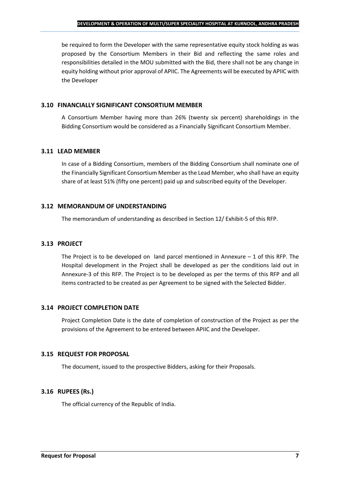be required to form the Developer with the same representative equity stock holding as was proposed by the Consortium Members in their Bid and reflecting the same roles and responsibilities detailed in the MOU submitted with the Bid, there shall not be any change in equity holding without prior approval of APIIC. The Agreements will be executed by APIIC with the Developer

### **3.10 FINANCIALLY SIGNIFICANT CONSORTIUM MEMBER**

A Consortium Member having more than 26% (twenty six percent) shareholdings in the Bidding Consortium would be considered as a Financially Significant Consortium Member.

## **3.11 LEAD MEMBER**

In case of a Bidding Consortium, members of the Bidding Consortium shall nominate one of the Financially Significant Consortium Member as the Lead Member, who shall have an equity share of at least 51% (fifty one percent) paid up and subscribed equity of the Developer.

## **3.12 MEMORANDUM OF UNDERSTANDING**

The memorandum of understanding as described in Section 12/ Exhibit-5 of this RFP.

## **3.13 PROJECT**

The Project is to be developed on land parcel mentioned in Annexure  $-1$  of this RFP. The Hospital development in the Project shall be developed as per the conditions laid out in Annexure-3 of this RFP. The Project is to be developed as per the terms of this RFP and all items contracted to be created as per Agreement to be signed with the Selected Bidder.

## **3.14 PROJECT COMPLETION DATE**

Project Completion Date is the date of completion of construction of the Project as per the provisions of the Agreement to be entered between APIIC and the Developer.

## **3.15 REQUEST FOR PROPOSAL**

The document, issued to the prospective Bidders, asking for their Proposals.

## **3.16 RUPEES (Rs.)**

The official currency of the Republic of India.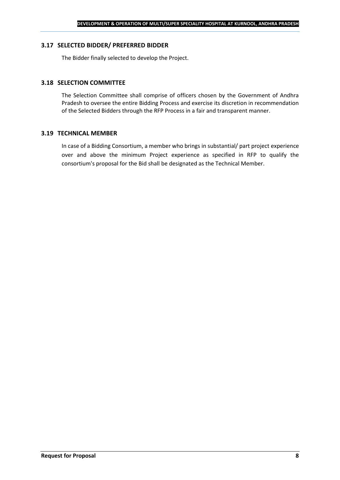#### **3.17 SELECTED BIDDER/ PREFERRED BIDDER**

The Bidder finally selected to develop the Project.

### **3.18 SELECTION COMMITTEE**

The Selection Committee shall comprise of officers chosen by the Government of Andhra Pradesh to oversee the entire Bidding Process and exercise its discretion in recommendation of the Selected Bidders through the RFP Process in a fair and transparent manner.

#### **3.19 TECHNICAL MEMBER**

In case of a Bidding Consortium, a member who brings in substantial/ part project experience over and above the minimum Project experience as specified in RFP to qualify the consortium's proposal for the Bid shall be designated as the Technical Member.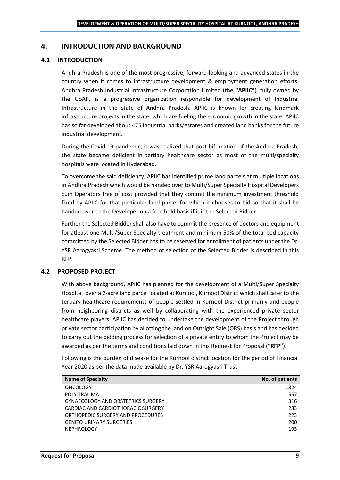## <span id="page-8-0"></span>**4. INTRODUCTION AND BACKGROUND**

#### **4.1 INTRODUCTION**

Andhra Pradesh is one of the most progressive, forward-looking and advanced states in the country when it comes to infrastructure development & employment generation efforts. Andhra Pradesh Industrial Infrastructure Corporation Limited (the **"APIIC"**), fully owned by the GoAP, is a progressive organization responsible for development of Industrial Infrastructure in the state of Andhra Pradesh. APIIC is known for creating landmark infrastructure projects in the state, which are fueling the economic growth in the state. APIIC has so far developed about 475 industrial parks/estates and created land banks for the future industrial development.

During the Covid-19 pandemic, it was realized that post bifurcation of the Andhra Pradesh, the state became deficient in tertiary healthcare sector as most of the multi/specialty hospitals were located in Hyderabad.

To overcome the said deficiency, APIIC has identified prime land parcels at multiple locations in Andhra Pradesh which would be handed over to Multi/Super Specialty Hospital Developers cum Operators free of cost provided that they commit the minimum investment threshold fixed by APIIC for that particular land parcel for which it chooses to bid so that it shall be handed over to the Developer on a free hold basis if it is the Selected Bidder.

Further the Selected Bidder shall also have to commit the presence of doctors and equipment for atleast one Multi/Super Specialty treatment and minimum 50% of the total bed capacity committed by the Selected Bidder has to be reserved for enrollment of patients under the Dr. YSR Aarogyasri Scheme. The method of selection of the Selected Bidder is described in this RFP.

#### **4.2 PROPOSED PROJECT**

With above background, APIIC has planned for the development of a Multi/Super Specialty Hospital over a 2-acre land parcel located at Kurnool, Kurnool District which shall cater to the tertiary healthcare requirements of people settled in Kurnool District primarily and people from neighboring districts as well by collaborating with the experienced private sector healthcare players. APIIC has decided to undertake the development of the Project through private sector participation by allotting the land on Outright Sale (ORS) basis and has decided to carry out the bidding process for selection of a private entity to whom the Project may be awarded as per the terms and conditions laid down in this Request for Proposal (**"RFP"**).

Following is the burden of disease for the Kurnool district location for the period of Financial Year 2020 as per the data made available by Dr. YSR Aarogyasri Trust.

| <b>Name of Specialty</b>                  | No. of patients |
|-------------------------------------------|-----------------|
| <b>ONCOLOGY</b>                           | 1324            |
| POLY TRAUMA                               | 557             |
| <b>GYNAECOLOGY AND OBSTETRICS SURGERY</b> | 316             |
| CARDIAC AND CARDIOTHORACIC SURGERY        | 283             |
| ORTHOPEDIC SURGERY AND PROCEDURES         | 223             |
| <b>GENITO URINARY SURGERIES</b>           | 200             |
| <b>NEPHROLOGY</b>                         | 193             |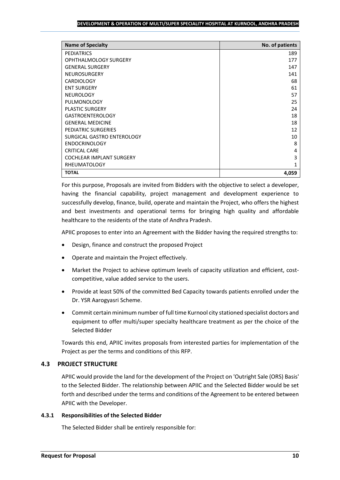#### **DEVELOPMENT & OPERATION OF MULTI/SUPER SPECIALITY HOSPITAL AT KURNOOL, ANDHRA PRADESH**

| <b>Name of Specialty</b>        | No. of patients |
|---------------------------------|-----------------|
| <b>PEDIATRICS</b>               | 189             |
| <b>OPHTHALMOLOGY SURGERY</b>    | 177             |
| <b>GENERAL SURGERY</b>          | 147             |
| <b>NEUROSURGERY</b>             | 141             |
| <b>CARDIOLOGY</b>               | 68              |
| <b>ENT SURGERY</b>              | 61              |
| <b>NEUROLOGY</b>                | 57              |
| PULMONOLOGY                     | 25              |
| <b>PLASTIC SURGERY</b>          | 24              |
| <b>GASTROENTEROLOGY</b>         | 18              |
| <b>GENERAL MEDICINE</b>         | 18              |
| PEDIATRIC SURGERIES             | 12              |
| SURGICAL GASTRO ENTEROLOGY      | 10              |
| <b>ENDOCRINOLOGY</b>            | 8               |
| <b>CRITICAL CARE</b>            | 4               |
| <b>COCHLEAR IMPLANT SURGERY</b> | 3               |
| <b>RHEUMATOLOGY</b>             | 1               |
| <b>TOTAL</b>                    | 4,059           |

For this purpose, Proposals are invited from Bidders with the objective to select a developer, having the financial capability, project management and development experience to successfully develop, finance, build, operate and maintain the Project, who offers the highest and best investments and operational terms for bringing high quality and affordable healthcare to the residents of the state of Andhra Pradesh.

APIIC proposes to enter into an Agreement with the Bidder having the required strengths to:

- Design, finance and construct the proposed Project
- Operate and maintain the Project effectively.
- Market the Project to achieve optimum levels of capacity utilization and efficient, costcompetitive, value added service to the users.
- Provide at least 50% of the committed Bed Capacity towards patients enrolled under the Dr. YSR Aarogyasri Scheme.
- Commit certain minimum number of full time Kurnool city stationed specialist doctors and equipment to offer multi/super specialty healthcare treatment as per the choice of the Selected Bidder

Towards this end, APIIC invites proposals from interested parties for implementation of the Project as per the terms and conditions of this RFP.

## **4.3 PROJECT STRUCTURE**

APIIC would provide the land for the development of the Project on 'Outright Sale (ORS) Basis' to the Selected Bidder. The relationship between APIIC and the Selected Bidder would be set forth and described under the terms and conditions of the Agreement to be entered between APIIC with the Developer.

#### **4.3.1 Responsibilities of the Selected Bidder**

The Selected Bidder shall be entirely responsible for: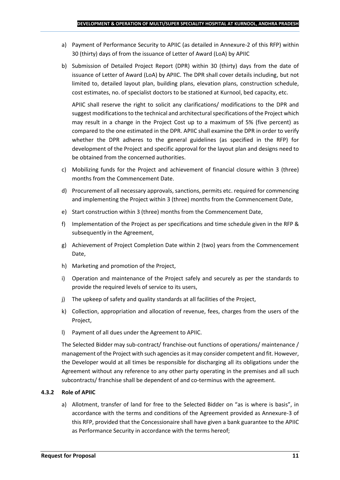- a) Payment of Performance Security to APIIC (as detailed in Annexure-2 of this RFP) within 30 (thirty) days of from the issuance of Letter of Award (LoA) by APIIC
- b) Submission of Detailed Project Report (DPR) within 30 (thirty) days from the date of issuance of Letter of Award (LoA) by APIIC. The DPR shall cover details including, but not limited to, detailed layout plan, building plans, elevation plans, construction schedule, cost estimates, no. of specialist doctors to be stationed at Kurnool, bed capacity, etc.

APIIC shall reserve the right to solicit any clarifications/ modifications to the DPR and suggest modifications to the technical and architectural specifications of the Project which may result in a change in the Project Cost up to a maximum of 5% (five percent) as compared to the one estimated in the DPR. APIIC shall examine the DPR in order to verify whether the DPR adheres to the general guidelines (as specified in the RFP) for development of the Project and specific approval for the layout plan and designs need to be obtained from the concerned authorities.

- c) Mobilizing funds for the Project and achievement of financial closure within 3 (three) months from the Commencement Date.
- d) Procurement of all necessary approvals, sanctions, permits etc. required for commencing and implementing the Project within 3 (three) months from the Commencement Date,
- e) Start construction within 3 (three) months from the Commencement Date,
- f) Implementation of the Project as per specifications and time schedule given in the RFP & subsequently in the Agreement,
- g) Achievement of Project Completion Date within 2 (two) years from the Commencement Date,
- h) Marketing and promotion of the Project,
- i) Operation and maintenance of the Project safely and securely as per the standards to provide the required levels of service to its users,
- j) The upkeep of safety and quality standards at all facilities of the Project,
- k) Collection, appropriation and allocation of revenue, fees, charges from the users of the Project,
- l) Payment of all dues under the Agreement to APIIC.

The Selected Bidder may sub-contract/ franchise-out functions of operations/ maintenance / management of the Project with such agencies as it may consider competent and fit. However, the Developer would at all times be responsible for discharging all its obligations under the Agreement without any reference to any other party operating in the premises and all such subcontracts/ franchise shall be dependent of and co-terminus with the agreement.

#### **4.3.2 Role of APIIC**

a) Allotment, transfer of land for free to the Selected Bidder on "as is where is basis", in accordance with the terms and conditions of the Agreement provided as Annexure-3 of this RFP, provided that the Concessionaire shall have given a bank guarantee to the APIIC as Performance Security in accordance with the terms hereof;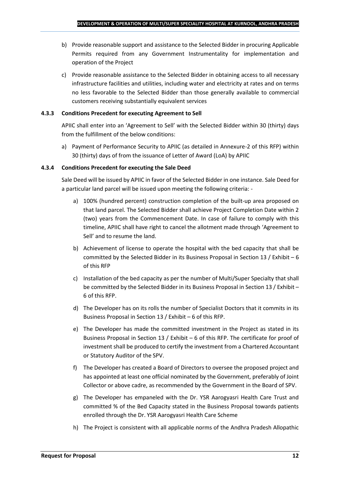- b) Provide reasonable support and assistance to the Selected Bidder in procuring Applicable Permits required from any Government Instrumentality for implementation and operation of the Project
- c) Provide reasonable assistance to the Selected Bidder in obtaining access to all necessary infrastructure facilities and utilities, including water and electricity at rates and on terms no less favorable to the Selected Bidder than those generally available to commercial customers receiving substantially equivalent services

## **4.3.3 Conditions Precedent for executing Agreement to Sell**

APIIC shall enter into an 'Agreement to Sell' with the Selected Bidder within 30 (thirty) days from the fulfillment of the below conditions:

a) Payment of Performance Security to APIIC (as detailed in Annexure-2 of this RFP) within 30 (thirty) days of from the issuance of Letter of Award (LoA) by APIIC

## **4.3.4 Conditions Precedent for executing the Sale Deed**

Sale Deed will be issued by APIIC in favor of the Selected Bidder in one instance. Sale Deed for a particular land parcel will be issued upon meeting the following criteria: -

- a) 100% (hundred percent) construction completion of the built-up area proposed on that land parcel. The Selected Bidder shall achieve Project Completion Date within 2 (two) years from the Commencement Date. In case of failure to comply with this timeline, APIIC shall have right to cancel the allotment made through 'Agreement to Sell' and to resume the land.
- b) Achievement of license to operate the hospital with the bed capacity that shall be committed by the Selected Bidder in its Business Proposal in Section 13 / Exhibit – 6 of this RFP
- c) Installation of the bed capacity as per the number of Multi/Super Specialty that shall be committed by the Selected Bidder in its Business Proposal in Section 13 / Exhibit – 6 of this RFP.
- d) The Developer has on its rolls the number of Specialist Doctors that it commits in its Business Proposal in Section 13 / Exhibit – 6 of this RFP.
- e) The Developer has made the committed investment in the Project as stated in its Business Proposal in Section 13 / Exhibit – 6 of this RFP. The certificate for proof of investment shall be produced to certify the investment from a Chartered Accountant or Statutory Auditor of the SPV.
- f) The Developer has created a Board of Directors to oversee the proposed project and has appointed at least one official nominated by the Government, preferably of Joint Collector or above cadre, as recommended by the Government in the Board of SPV.
- g) The Developer has empaneled with the Dr. YSR Aarogyasri Health Care Trust and committed % of the Bed Capacity stated in the Business Proposal towards patients enrolled through the Dr. YSR Aarogyasri Health Care Scheme
- h) The Project is consistent with all applicable norms of the Andhra Pradesh Allopathic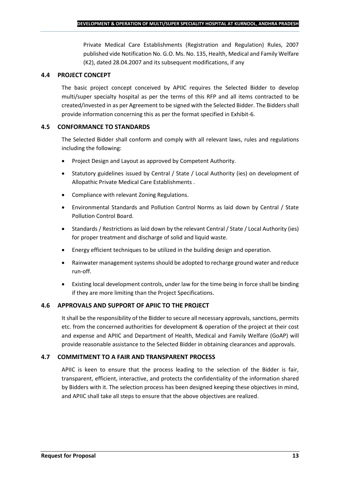Private Medical Care Establishments (Registration and Regulation) Rules, 2007 published vide Notification No. G.O. Ms. No. 135, Health, Medical and Family Welfare (K2), dated 28.04.2007 and its subsequent modifications, if any

## **4.4 PROJECT CONCEPT**

The basic project concept conceived by APIIC requires the Selected Bidder to develop multi/super specialty hospital as per the terms of this RFP and all items contracted to be created/invested in as per Agreement to be signed with the Selected Bidder. The Bidders shall provide information concerning this as per the format specified in Exhibit-6.

## **4.5 CONFORMANCE TO STANDARDS**

The Selected Bidder shall conform and comply with all relevant laws, rules and regulations including the following:

- Project Design and Layout as approved by Competent Authority.
- Statutory guidelines issued by Central / State / Local Authority (ies) on development of Allopathic Private Medical Care Establishments .
- Compliance with relevant Zoning Regulations.
- Environmental Standards and Pollution Control Norms as laid down by Central / State Pollution Control Board.
- Standards / Restrictions as laid down by the relevant Central / State / Local Authority (ies) for proper treatment and discharge of solid and liquid waste.
- Energy efficient techniques to be utilized in the building design and operation.
- Rainwater management systems should be adopted to recharge ground water and reduce run-off.
- Existing local development controls, under law for the time being in force shall be binding if they are more limiting than the Project Specifications.

## **4.6 APPROVALS AND SUPPORT OF APIIC TO THE PROJECT**

It shall be the responsibility of the Bidder to secure all necessary approvals, sanctions, permits etc. from the concerned authorities for development & operation of the project at their cost and expense and APIIC and Department of Health, Medical and Family Welfare (GoAP) will provide reasonable assistance to the Selected Bidder in obtaining clearances and approvals.

## **4.7 COMMITMENT TO A FAIR AND TRANSPARENT PROCESS**

APIIC is keen to ensure that the process leading to the selection of the Bidder is fair, transparent, efficient, interactive, and protects the confidentiality of the information shared by Bidders with it. The selection process has been designed keeping these objectives in mind, and APIIC shall take all steps to ensure that the above objectives are realized.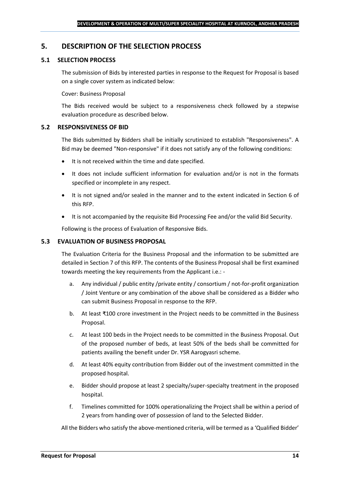## <span id="page-13-0"></span>**5. DESCRIPTION OF THE SELECTION PROCESS**

## **5.1 SELECTION PROCESS**

The submission of Bids by interested parties in response to the Request for Proposal is based on a single cover system as indicated below:

#### Cover: Business Proposal

The Bids received would be subject to a responsiveness check followed by a stepwise evaluation procedure as described below.

#### **5.2 RESPONSIVENESS OF BID**

The Bids submitted by Bidders shall be initially scrutinized to establish "Responsiveness". A Bid may be deemed "Non-responsive" if it does not satisfy any of the following conditions:

- It is not received within the time and date specified.
- It does not include sufficient information for evaluation and/or is not in the formats specified or incomplete in any respect.
- It is not signed and/or sealed in the manner and to the extent indicated in Section 6 of this RFP.
- It is not accompanied by the requisite Bid Processing Fee and/or the valid Bid Security.

Following is the process of Evaluation of Responsive Bids.

### **5.3 EVALUATION OF BUSINESS PROPOSAL**

The Evaluation Criteria for the Business Proposal and the information to be submitted are detailed in Section 7 of this RFP. The contents of the Business Proposal shall be first examined towards meeting the key requirements from the Applicant i.e.: -

- a. Any individual / public entity / private entity / consortium / not-for-profit organization / Joint Venture or any combination of the above shall be considered as a Bidder who can submit Business Proposal in response to the RFP.
- b. At least ₹100 crore investment in the Project needs to be committed in the Business Proposal.
- c. At least 100 beds in the Project needs to be committed in the Business Proposal. Out of the proposed number of beds, at least 50% of the beds shall be committed for patients availing the benefit under Dr. YSR Aarogyasri scheme.
- d. At least 40% equity contribution from Bidder out of the investment committed in the proposed hospital.
- e. Bidder should propose at least 2 specialty/super-specialty treatment in the proposed hospital.
- f. Timelines committed for 100% operationalizing the Project shall be within a period of 2 years from handing over of possession of land to the Selected Bidder.

All the Bidders who satisfy the above-mentioned criteria, will be termed as a 'Qualified Bidder'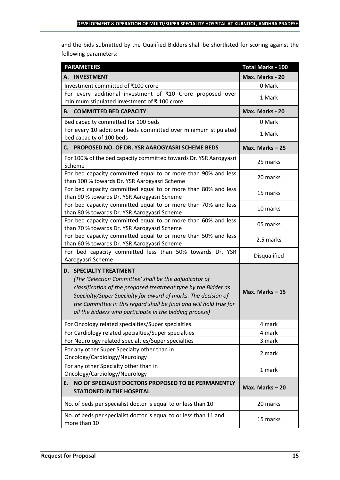and the bids submitted by the Qualified Bidders shall be shortlisted for scoring against the following parameters:

| <b>PARAMETERS</b>                                                                                                                                                                                                                                                                                                                                           | <b>Total Marks - 100</b> |
|-------------------------------------------------------------------------------------------------------------------------------------------------------------------------------------------------------------------------------------------------------------------------------------------------------------------------------------------------------------|--------------------------|
| A. INVESTMENT                                                                                                                                                                                                                                                                                                                                               | Max. Marks - 20          |
| Investment committed of ₹100 crore                                                                                                                                                                                                                                                                                                                          | 0 Mark                   |
| For every additional investment of ₹10 Crore proposed over<br>minimum stipulated investment of ₹100 crore                                                                                                                                                                                                                                                   | 1 Mark                   |
| <b>B. COMMITTED BED CAPACITY</b>                                                                                                                                                                                                                                                                                                                            | Max. Marks - 20          |
| Bed capacity committed for 100 beds                                                                                                                                                                                                                                                                                                                         | 0 Mark                   |
| For every 10 additional beds committed over minimum stipulated<br>bed capacity of 100 beds                                                                                                                                                                                                                                                                  | 1 Mark                   |
| PROPOSED NO. OF DR. YSR AAROGYASRI SCHEME BEDS<br>С.                                                                                                                                                                                                                                                                                                        | Max. Marks $-25$         |
| For 100% of the bed capacity committed towards Dr. YSR Aarogyasri<br>Scheme                                                                                                                                                                                                                                                                                 | 25 marks                 |
| For bed capacity committed equal to or more than 90% and less<br>than 100 % towards Dr. YSR Aarogyasri Scheme                                                                                                                                                                                                                                               | 20 marks                 |
| For bed capacity committed equal to or more than 80% and less<br>than 90 % towards Dr. YSR Aarogyasri Scheme                                                                                                                                                                                                                                                | 15 marks                 |
| For bed capacity committed equal to or more than 70% and less<br>than 80 % towards Dr. YSR Aarogyasri Scheme                                                                                                                                                                                                                                                | 10 marks                 |
| For bed capacity committed equal to or more than 60% and less<br>than 70 % towards Dr. YSR Aarogyasri Scheme                                                                                                                                                                                                                                                | 05 marks                 |
| For bed capacity committed equal to or more than 50% and less<br>than 60 % towards Dr. YSR Aarogyasri Scheme                                                                                                                                                                                                                                                | 2.5 marks                |
| For bed capacity committed less than 50% towards Dr. YSR<br>Aarogyasri Scheme                                                                                                                                                                                                                                                                               | Disqualified             |
| <b>D. SPECIALTY TREATMENT</b><br>(The 'Selection Committee' shall be the adjudicator of<br>classification of the proposed treatment type by the Bidder as<br>Specialty/Super Specialty for award of marks. The decision of<br>the Committee in this regard shall be final and will hold true for<br>all the bidders who participate in the bidding process) | Max. Marks $-15$         |
| For Oncology related specialties/Super specialties                                                                                                                                                                                                                                                                                                          | 4 mark                   |
| For Cardiology related specialties/Super specialties                                                                                                                                                                                                                                                                                                        | 4 mark                   |
| For Neurology related specialties/Super specialties                                                                                                                                                                                                                                                                                                         | 3 mark                   |
| For any other Super Specialty other than in<br>Oncology/Cardiology/Neurology                                                                                                                                                                                                                                                                                | 2 mark                   |
| For any other Specialty other than in<br>Oncology/Cardiology/Neurology                                                                                                                                                                                                                                                                                      | 1 mark                   |
| NO OF SPECIALIST DOCTORS PROPOSED TO BE PERMANENTLY<br>Ε.<br><b>STATIONED IN THE HOSPITAL</b>                                                                                                                                                                                                                                                               | Max. Marks $-20$         |
| No. of beds per specialist doctor is equal to or less than 10                                                                                                                                                                                                                                                                                               | 20 marks                 |
| No. of beds per specialist doctor is equal to or less than 11 and<br>more than 10                                                                                                                                                                                                                                                                           | 15 marks                 |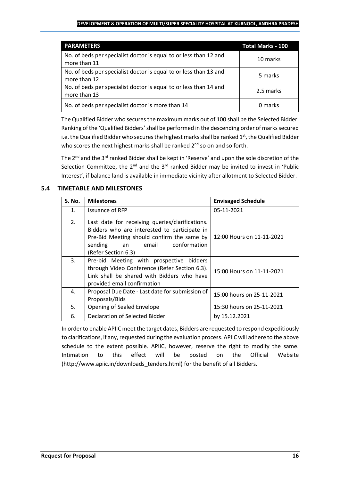#### **DEVELOPMENT & OPERATION OF MULTI/SUPER SPECIALITY HOSPITAL AT KURNOOL, ANDHRA PRADESH**

| <b>PARAMETERS</b>                                                                 | <b>Total Marks - 100</b> |
|-----------------------------------------------------------------------------------|--------------------------|
| No. of beds per specialist doctor is equal to or less than 12 and<br>more than 11 | 10 marks                 |
| No. of beds per specialist doctor is equal to or less than 13 and<br>more than 12 | 5 marks                  |
| No. of beds per specialist doctor is equal to or less than 14 and<br>more than 13 | 2.5 marks                |
| No. of beds per specialist doctor is more than 14                                 | 0 marks                  |

The Qualified Bidder who securesthe maximum marks out of 100 shall be the Selected Bidder. Ranking of the 'Qualified Bidders'shall be performed in the descending order of marks secured i.e. the Qualified Bidder who secures the highest marks shall be ranked  $1<sup>st</sup>$ , the Qualified Bidder who scores the next highest marks shall be ranked 2<sup>nd</sup> so on and so forth.

The 2<sup>nd</sup> and the 3<sup>rd</sup> ranked Bidder shall be kept in 'Reserve' and upon the sole discretion of the Selection Committee, the  $2^{nd}$  and the  $3^{rd}$  ranked Bidder may be invited to invest in 'Public Interest', if balance land is available in immediate vicinity after allotment to Selected Bidder.

## **5.4 TIMETABLE AND MILESTONES**

| <b>S. No.</b>  | <b>Milestones</b>                                                                                                                                                                                           | <b>Envisaged Schedule</b> |
|----------------|-------------------------------------------------------------------------------------------------------------------------------------------------------------------------------------------------------------|---------------------------|
| $\mathbf{1}$ . | Issuance of RFP                                                                                                                                                                                             | 05-11-2021                |
| 2.             | Last date for receiving queries/clarifications.<br>Bidders who are interested to participate in<br>Pre-Bid Meeting should confirm the same by<br>conformation<br>sending<br>an email<br>(Refer Section 6.3) | 12:00 Hours on 11-11-2021 |
| 3.             | Pre-bid Meeting with prospective bidders<br>through Video Conference (Refer Section 6.3).<br>Link shall be shared with Bidders who have<br>provided email confirmation                                      | 15:00 Hours on 11-11-2021 |
| 4.             | Proposal Due Date - Last date for submission of<br>Proposals/Bids                                                                                                                                           | 15:00 hours on 25-11-2021 |
| 5.             | Opening of Sealed Envelope                                                                                                                                                                                  | 15:30 hours on 25-11-2021 |
| 6.             | Declaration of Selected Bidder                                                                                                                                                                              | by 15.12.2021             |

In order to enable APIIC meet the target dates, Bidders are requested to respond expeditiously to clarifications, if any, requested during the evaluation process. APIIC will adhere to the above schedule to the extent possible. APIIC, however, reserve the right to modify the same. Intimation to this effect will be posted on the Official Website (http://www.apiic.in/downloads\_tenders.html) for the benefit of all Bidders.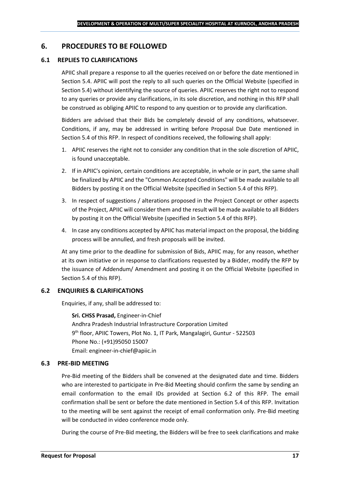## <span id="page-16-0"></span>**6. PROCEDURES TO BE FOLLOWED**

## **6.1 REPLIES TO CLARIFICATIONS**

APIIC shall prepare a response to all the queries received on or before the date mentioned in Section 5.4. APIIC will post the reply to all such queries on the Official Website (specified in Section 5.4) without identifying the source of queries. APIIC reserves the right not to respond to any queries or provide any clarifications, in its sole discretion, and nothing in this RFP shall be construed as obliging APIIC to respond to any question or to provide any clarification.

Bidders are advised that their Bids be completely devoid of any conditions, whatsoever. Conditions, if any, may be addressed in writing before Proposal Due Date mentioned in Section 5.4 of this RFP. In respect of conditions received, the following shall apply:

- 1. APIIC reserves the right not to consider any condition that in the sole discretion of APIIC, is found unacceptable.
- 2. If in APIIC's opinion, certain conditions are acceptable, in whole or in part, the same shall be finalized by APIIC and the "Common Accepted Conditions" will be made available to all Bidders by posting it on the Official Website (specified in Section 5.4 of this RFP).
- 3. In respect of suggestions / alterations proposed in the Project Concept or other aspects of the Project, APIIC will consider them and the result will be made available to all Bidders by posting it on the Official Website (specified in Section 5.4 of this RFP).
- 4. In case any conditions accepted by APIIC has material impact on the proposal, the bidding process will be annulled, and fresh proposals will be invited.

At any time prior to the deadline for submission of Bids, APIIC may, for any reason, whether at its own initiative or in response to clarifications requested by a Bidder, modify the RFP by the issuance of Addendum/ Amendment and posting it on the Official Website (specified in Section 5.4 of this RFP).

## **6.2 ENQUIRIES & CLARIFICATIONS**

Enquiries, if any, shall be addressed to:

**Sri. CHSS Prasad,** Engineer-in-Chief Andhra Pradesh Industrial Infrastructure Corporation Limited 9 th floor, APIIC Towers, Plot No. 1, IT Park, Mangalagiri, Guntur - 522503 Phone No.: (+91)95050 15007 Email: engineer-in-chief@apiic.in

#### **6.3 PRE-BID MEETING**

Pre-Bid meeting of the Bidders shall be convened at the designated date and time. Bidders who are interested to participate in Pre-Bid Meeting should confirm the same by sending an email conformation to the email IDs provided at Section 6.2 of this RFP. The email confirmation shall be sent or before the date mentioned in Section 5.4 of this RFP. Invitation to the meeting will be sent against the receipt of email conformation only. Pre-Bid meeting will be conducted in video conference mode only.

During the course of Pre-Bid meeting, the Bidders will be free to seek clarifications and make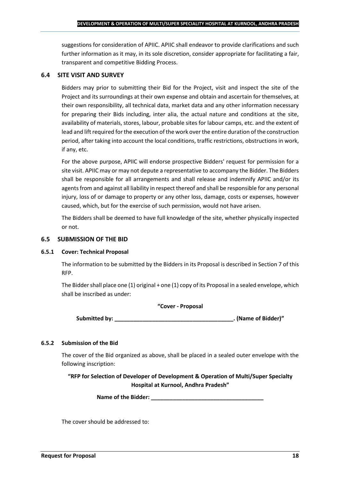suggestions for consideration of APIIC. APIIC shall endeavor to provide clarifications and such further information as it may, in its sole discretion, consider appropriate for facilitating a fair, transparent and competitive Bidding Process.

## **6.4 SITE VISIT AND SURVEY**

Bidders may prior to submitting their Bid for the Project, visit and inspect the site of the Project and its surroundings at their own expense and obtain and ascertain for themselves, at their own responsibility, all technical data, market data and any other information necessary for preparing their Bids including, inter alia, the actual nature and conditions at the site, availability of materials, stores, labour, probable sites for labour camps, etc. and the extent of lead and lift required for the execution of the work over the entire duration of the construction period, after taking into account the local conditions, traffic restrictions, obstructions in work, if any, etc.

For the above purpose, APIIC will endorse prospective Bidders' request for permission for a site visit. APIIC may or may not depute a representative to accompany the Bidder. The Bidders shall be responsible for all arrangements and shall release and indemnify APIIC and/or its agents from and against all liability in respect thereof and shall be responsible for any personal injury, loss of or damage to property or any other loss, damage, costs or expenses, however caused, which, but for the exercise of such permission, would not have arisen.

The Bidders shall be deemed to have full knowledge of the site, whether physically inspected or not.

### **6.5 SUBMISSION OF THE BID**

#### **6.5.1 Cover: Technical Proposal**

The information to be submitted by the Bidders in its Proposal is described in Section 7 of this RFP.

The Bidder shall place one (1) original + one (1) copy of its Proposal in a sealed envelope, which shall be inscribed as under:

#### **"Cover - Proposal**

**Submitted by: \_\_\_\_\_\_\_\_\_\_\_\_\_\_\_\_\_\_\_\_\_\_\_\_\_\_\_\_\_\_\_\_\_\_\_\_\_\_. (Name of Bidder)"**

## **6.5.2 Submission of the Bid**

The cover of the Bid organized as above, shall be placed in a sealed outer envelope with the following inscription:

**"RFP for Selection of Developer of Development & Operation of Multi/Super Specialty Hospital at Kurnool, Andhra Pradesh"**

Name of the Bidder: **We are also asset to the Bidder**:

The cover should be addressed to: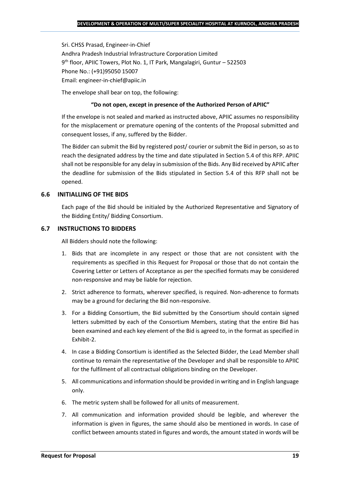Sri. CHSS Prasad, Engineer-in-Chief Andhra Pradesh Industrial Infrastructure Corporation Limited 9 th floor, APIIC Towers, Plot No. 1, IT Park, Mangalagiri, Guntur – 522503 Phone No.: (+91)95050 15007 Email: engineer-in-chief@apiic.in

The envelope shall bear on top, the following:

#### **"Do not open, except in presence of the Authorized Person of APIIC"**

If the envelope is not sealed and marked as instructed above, APIIC assumes no responsibility for the misplacement or premature opening of the contents of the Proposal submitted and consequent losses, if any, suffered by the Bidder.

The Bidder can submit the Bid by registered post/ courier or submit the Bid in person, so as to reach the designated address by the time and date stipulated in Section 5.4 of this RFP. APIIC shall not be responsible for any delay in submission of the Bids. Any Bid received by APIIC after the deadline for submission of the Bids stipulated in Section 5.4 of this RFP shall not be opened.

#### **6.6 INITIALLING OF THE BIDS**

Each page of the Bid should be initialed by the Authorized Representative and Signatory of the Bidding Entity/ Bidding Consortium.

#### **6.7 INSTRUCTIONS TO BIDDERS**

All Bidders should note the following:

- 1. Bids that are incomplete in any respect or those that are not consistent with the requirements as specified in this Request for Proposal or those that do not contain the Covering Letter or Letters of Acceptance as per the specified formats may be considered non-responsive and may be liable for rejection.
- 2. Strict adherence to formats, wherever specified, is required. Non-adherence to formats may be a ground for declaring the Bid non-responsive.
- 3. For a Bidding Consortium, the Bid submitted by the Consortium should contain signed letters submitted by each of the Consortium Members, stating that the entire Bid has been examined and each key element of the Bid is agreed to, in the format as specified in Exhibit-2.
- 4. In case a Bidding Consortium is identified as the Selected Bidder, the Lead Member shall continue to remain the representative of the Developer and shall be responsible to APIIC for the fulfilment of all contractual obligations binding on the Developer.
- 5. All communications and information should be provided in writing and in English language only.
- 6. The metric system shall be followed for all units of measurement.
- 7. All communication and information provided should be legible, and wherever the information is given in figures, the same should also be mentioned in words. In case of conflict between amounts stated in figures and words, the amount stated in words will be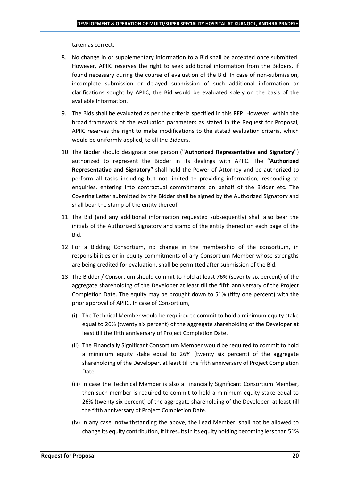taken as correct.

- 8. No change in or supplementary information to a Bid shall be accepted once submitted. However, APIIC reserves the right to seek additional information from the Bidders, if found necessary during the course of evaluation of the Bid. In case of non-submission, incomplete submission or delayed submission of such additional information or clarifications sought by APIIC, the Bid would be evaluated solely on the basis of the available information.
- 9. The Bids shall be evaluated as per the criteria specified in this RFP. However, within the broad framework of the evaluation parameters as stated in the Request for Proposal, APIIC reserves the right to make modifications to the stated evaluation criteria, which would be uniformly applied, to all the Bidders.
- 10. The Bidder should designate one person (**"Authorized Representative and Signatory"**) authorized to represent the Bidder in its dealings with APIIC. The **"Authorized Representative and Signatory"** shall hold the Power of Attorney and be authorized to perform all tasks including but not limited to providing information, responding to enquiries, entering into contractual commitments on behalf of the Bidder etc. The Covering Letter submitted by the Bidder shall be signed by the Authorized Signatory and shall bear the stamp of the entity thereof.
- 11. The Bid (and any additional information requested subsequently) shall also bear the initials of the Authorized Signatory and stamp of the entity thereof on each page of the Bid.
- 12. For a Bidding Consortium, no change in the membership of the consortium, in responsibilities or in equity commitments of any Consortium Member whose strengths are being credited for evaluation, shall be permitted after submission of the Bid.
- 13. The Bidder / Consortium should commit to hold at least 76% (seventy six percent) of the aggregate shareholding of the Developer at least till the fifth anniversary of the Project Completion Date. The equity may be brought down to 51% (fifty one percent) with the prior approval of APIIC. In case of Consortium,
	- (i) The Technical Member would be required to commit to hold a minimum equity stake equal to 26% (twenty six percent) of the aggregate shareholding of the Developer at least till the fifth anniversary of Project Completion Date.
	- (ii) The Financially Significant Consortium Member would be required to commit to hold a minimum equity stake equal to 26% (twenty six percent) of the aggregate shareholding of the Developer, at least till the fifth anniversary of Project Completion Date.
	- (iii) In case the Technical Member is also a Financially Significant Consortium Member, then such member is required to commit to hold a minimum equity stake equal to 26% (twenty six percent) of the aggregate shareholding of the Developer, at least till the fifth anniversary of Project Completion Date.
	- (iv) In any case, notwithstanding the above, the Lead Member, shall not be allowed to change its equity contribution, if it results in its equity holding becoming less than 51%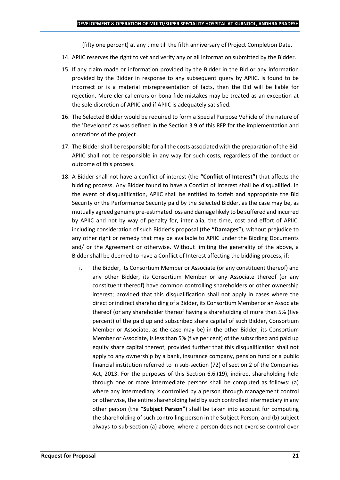(fifty one percent) at any time till the fifth anniversary of Project Completion Date.

- 14. APIIC reserves the right to vet and verify any or all information submitted by the Bidder.
- 15. If any claim made or information provided by the Bidder in the Bid or any information provided by the Bidder in response to any subsequent query by APIIC, is found to be incorrect or is a material misrepresentation of facts, then the Bid will be liable for rejection. Mere clerical errors or bona-fide mistakes may be treated as an exception at the sole discretion of APIIC and if APIIC is adequately satisfied.
- 16. The Selected Bidder would be required to form a Special Purpose Vehicle of the nature of the 'Developer' as was defined in the Section 3.9 of this RFP for the implementation and operations of the project.
- 17. The Bidder shall be responsible for all the costs associated with the preparation of the Bid. APIIC shall not be responsible in any way for such costs, regardless of the conduct or outcome of this process.
- 18. A Bidder shall not have a conflict of interest (the **"Conflict of Interest"**) that affects the bidding process. Any Bidder found to have a Conflict of Interest shall be disqualified. In the event of disqualification, APIIC shall be entitled to forfeit and appropriate the Bid Security or the Performance Security paid by the Selected Bidder, as the case may be, as mutually agreed genuine pre-estimated loss and damage likely to be suffered and incurred by APIIC and not by way of penalty for, inter alia, the time, cost and effort of APIIC, including consideration of such Bidder's proposal (the **"Damages"**), without prejudice to any other right or remedy that may be available to APIIC under the Bidding Documents and/ or the Agreement or otherwise. Without limiting the generality of the above, a Bidder shall be deemed to have a Conflict of Interest affecting the bidding process, if:
	- i. the Bidder, its Consortium Member or Associate (or any constituent thereof) and any other Bidder, its Consortium Member or any Associate thereof (or any constituent thereof) have common controlling shareholders or other ownership interest; provided that this disqualification shall not apply in cases where the direct or indirect shareholding of a Bidder, its Consortium Member or an Associate thereof (or any shareholder thereof having a shareholding of more than 5% (five percent) of the paid up and subscribed share capital of such Bidder, Consortium Member or Associate, as the case may be) in the other Bidder, its Consortium Member or Associate, is less than 5% (five per cent) of the subscribed and paid up equity share capital thereof; provided further that this disqualification shall not apply to any ownership by a bank, insurance company, pension fund or a public financial institution referred to in sub-section (72) of section 2 of the Companies Act, 2013. For the purposes of this Section 6.6.(19), indirect shareholding held through one or more intermediate persons shall be computed as follows: (a) where any intermediary is controlled by a person through management control or otherwise, the entire shareholding held by such controlled intermediary in any other person (the **"Subject Person"**) shall be taken into account for computing the shareholding of such controlling person in the Subject Person; and (b) subject always to sub-section (a) above, where a person does not exercise control over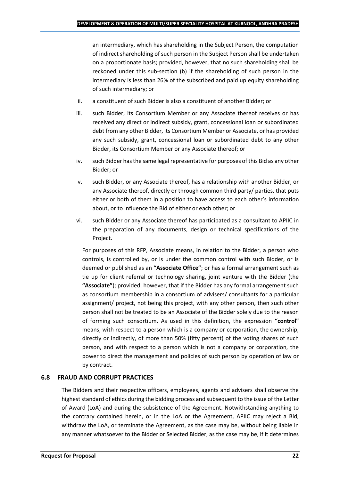an intermediary, which has shareholding in the Subject Person, the computation of indirect shareholding of such person in the Subject Person shall be undertaken on a proportionate basis; provided, however, that no such shareholding shall be reckoned under this sub-section (b) if the shareholding of such person in the intermediary is less than 26% of the subscribed and paid up equity shareholding of such intermediary; or

- ii. a constituent of such Bidder is also a constituent of another Bidder; or
- iii. such Bidder, its Consortium Member or any Associate thereof receives or has received any direct or indirect subsidy, grant, concessional loan or subordinated debt from any other Bidder, its Consortium Member or Associate, or has provided any such subsidy, grant, concessional loan or subordinated debt to any other Bidder, its Consortium Member or any Associate thereof; or
- iv. such Bidder has the same legal representative for purposes of this Bid as any other Bidder; or
- v. such Bidder, or any Associate thereof, has a relationship with another Bidder, or any Associate thereof, directly or through common third party/ parties, that puts either or both of them in a position to have access to each other's information about, or to influence the Bid of either or each other; or
- vi. such Bidder or any Associate thereof has participated as a consultant to APIIC in the preparation of any documents, design or technical specifications of the Project.

For purposes of this RFP, Associate means, in relation to the Bidder, a person who controls, is controlled by, or is under the common control with such Bidder, or is deemed or published as an **"Associate Office"**; or has a formal arrangement such as tie up for client referral or technology sharing, joint venture with the Bidder (the **"Associate"**); provided, however, that if the Bidder has any formal arrangement such as consortium membership in a consortium of advisers/ consultants for a particular assignment/ project, not being this project, with any other person, then such other person shall not be treated to be an Associate of the Bidder solely due to the reason of forming such consortium. As used in this definition, the expression **"control"**  means, with respect to a person which is a company or corporation, the ownership, directly or indirectly, of more than 50% (fifty percent) of the voting shares of such person, and with respect to a person which is not a company or corporation, the power to direct the management and policies of such person by operation of law or by contract.

## **6.8 FRAUD AND CORRUPT PRACTICES**

The Bidders and their respective officers, employees, agents and advisers shall observe the highest standard of ethics during the bidding process and subsequent to the issue of the Letter of Award (LoA) and during the subsistence of the Agreement. Notwithstanding anything to the contrary contained herein, or in the LoA or the Agreement, APIIC may reject a Bid, withdraw the LoA, or terminate the Agreement, as the case may be, without being liable in any manner whatsoever to the Bidder or Selected Bidder, as the case may be, if it determines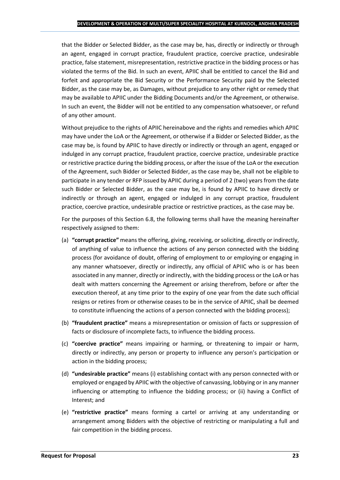that the Bidder or Selected Bidder, as the case may be, has, directly or indirectly or through an agent, engaged in corrupt practice, fraudulent practice, coercive practice, undesirable practice, false statement, misrepresentation, restrictive practice in the bidding process or has violated the terms of the Bid. In such an event, APIIC shall be entitled to cancel the Bid and forfeit and appropriate the Bid Security or the Performance Security paid by the Selected Bidder, as the case may be, as Damages, without prejudice to any other right or remedy that may be available to APIIC under the Bidding Documents and/or the Agreement, or otherwise. In such an event, the Bidder will not be entitled to any compensation whatsoever, or refund of any other amount.

Without prejudice to the rights of APIIC hereinabove and the rights and remedies which APIIC may have under the LoA or the Agreement, or otherwise if a Bidder or Selected Bidder, as the case may be, is found by APIIC to have directly or indirectly or through an agent, engaged or indulged in any corrupt practice, fraudulent practice, coercive practice, undesirable practice or restrictive practice during the bidding process, or after the issue of the LoA or the execution of the Agreement, such Bidder or Selected Bidder, as the case may be, shall not be eligible to participate in any tender or RFP issued by APIIC during a period of 2 (two) years from the date such Bidder or Selected Bidder, as the case may be, is found by APIIC to have directly or indirectly or through an agent, engaged or indulged in any corrupt practice, fraudulent practice, coercive practice, undesirable practice or restrictive practices, as the case may be.

For the purposes of this Section 6.8, the following terms shall have the meaning hereinafter respectively assigned to them:

- (a) **"corrupt practice"** means the offering, giving, receiving, or soliciting, directly or indirectly, of anything of value to influence the actions of any person connected with the bidding process (for avoidance of doubt, offering of employment to or employing or engaging in any manner whatsoever, directly or indirectly, any official of APIIC who is or has been associated in any manner, directly or indirectly, with the bidding process or the LoA or has dealt with matters concerning the Agreement or arising therefrom, before or after the execution thereof, at any time prior to the expiry of one year from the date such official resigns or retires from or otherwise ceases to be in the service of APIIC, shall be deemed to constitute influencing the actions of a person connected with the bidding process);
- (b) **"fraudulent practice"** means a misrepresentation or omission of facts or suppression of facts or disclosure of incomplete facts, to influence the bidding process.
- (c) **"coercive practice"** means impairing or harming, or threatening to impair or harm, directly or indirectly, any person or property to influence any person's participation or action in the bidding process;
- (d) **"undesirable practice"** means (i) establishing contact with any person connected with or employed or engaged by APIIC with the objective of canvassing, lobbying or in any manner influencing or attempting to influence the bidding process; or (ii) having a Conflict of Interest; and
- (e) **"restrictive practice"** means forming a cartel or arriving at any understanding or arrangement among Bidders with the objective of restricting or manipulating a full and fair competition in the bidding process.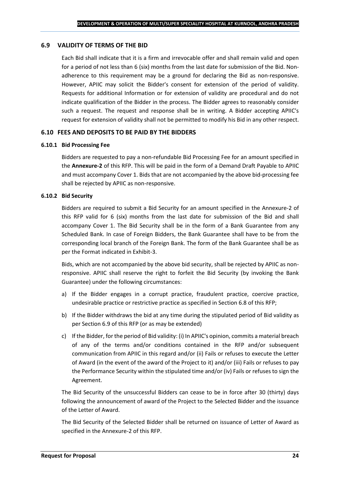### **6.9 VALIDITY OF TERMS OF THE BID**

Each Bid shall indicate that it is a firm and irrevocable offer and shall remain valid and open for a period of not less than 6 (six) months from the last date for submission of the Bid. Nonadherence to this requirement may be a ground for declaring the Bid as non-responsive. However, APIIC may solicit the Bidder's consent for extension of the period of validity. Requests for additional Information or for extension of validity are procedural and do not indicate qualification of the Bidder in the process. The Bidder agrees to reasonably consider such a request. The request and response shall be in writing. A Bidder accepting APIIC's request for extension of validity shall not be permitted to modify his Bid in any other respect.

#### **6.10 FEES AND DEPOSITS TO BE PAID BY THE BIDDERS**

#### **6.10.1 Bid Processing Fee**

Bidders are requested to pay a non-refundable Bid Processing Fee for an amount specified in the **Annexure-2** of this RFP. This will be paid in the form of a Demand Draft Payable to APIIC and must accompany Cover 1. Bids that are not accompanied by the above bid-processing fee shall be rejected by APIIC as non-responsive.

#### **6.10.2 Bid Security**

Bidders are required to submit a Bid Security for an amount specified in the Annexure-2 of this RFP valid for 6 (six) months from the last date for submission of the Bid and shall accompany Cover 1. The Bid Security shall be in the form of a Bank Guarantee from any Scheduled Bank. In case of Foreign Bidders, the Bank Guarantee shall have to be from the corresponding local branch of the Foreign Bank. The form of the Bank Guarantee shall be as per the Format indicated in Exhibit-3.

Bids, which are not accompanied by the above bid security, shall be rejected by APIIC as nonresponsive. APIIC shall reserve the right to forfeit the Bid Security (by invoking the Bank Guarantee) under the following circumstances:

- a) If the Bidder engages in a corrupt practice, fraudulent practice, coercive practice, undesirable practice or restrictive practice as specified in Section 6.8 of this RFP;
- b) If the Bidder withdraws the bid at any time during the stipulated period of Bid validity as per Section 6.9 of this RFP (or as may be extended)
- c) If the Bidder, for the period of Bid validity: (i) In APIIC's opinion, commits a material breach of any of the terms and/or conditions contained in the RFP and/or subsequent communication from APIIC in this regard and/or (ii) Fails or refuses to execute the Letter of Award (in the event of the award of the Project to it) and/or (iii) Fails or refuses to pay the Performance Security within the stipulated time and/or (iv) Fails or refuses to sign the Agreement.

The Bid Security of the unsuccessful Bidders can cease to be in force after 30 (thirty) days following the announcement of award of the Project to the Selected Bidder and the issuance of the Letter of Award.

The Bid Security of the Selected Bidder shall be returned on issuance of Letter of Award as specified in the Annexure-2 of this RFP.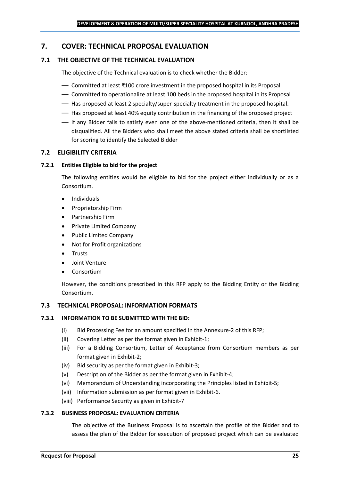## <span id="page-24-0"></span>**7. COVER: TECHNICAL PROPOSAL EVALUATION**

## **7.1 THE OBJECTIVE OF THE TECHNICAL EVALUATION**

The objective of the Technical evaluation is to check whether the Bidder:

- Committed at least ₹100 crore investment in the proposed hospital in its Proposal
- Committed to operationalize at least 100 beds in the proposed hospital in its Proposal
- Has proposed at least 2 specialty/super-specialty treatment in the proposed hospital.
- Has proposed at least 40% equity contribution in the financing of the proposed project
- If any Bidder fails to satisfy even one of the above-mentioned criteria, then it shall be disqualified. All the Bidders who shall meet the above stated criteria shall be shortlisted for scoring to identify the Selected Bidder

## **7.2 ELIGIBILITY CRITERIA**

#### **7.2.1 Entities Eligible to bid for the project**

The following entities would be eligible to bid for the project either individually or as a Consortium.

- Individuals
- Proprietorship Firm
- Partnership Firm
- Private Limited Company
- Public Limited Company
- Not for Profit organizations
- Trusts
- Joint Venture
- **Consortium**

However, the conditions prescribed in this RFP apply to the Bidding Entity or the Bidding Consortium.

#### **7.3 TECHNICAL PROPOSAL: INFORMATION FORMATS**

#### **7.3.1 INFORMATION TO BE SUBMITTED WITH THE BID:**

- (i) Bid Processing Fee for an amount specified in the Annexure-2 of this RFP;
- (ii) Covering Letter as per the format given in Exhibit-1;
- (iii) For a Bidding Consortium, Letter of Acceptance from Consortium members as per format given in Exhibit-2;
- (iv) Bid security as per the format given in Exhibit-3;
- (v) Description of the Bidder as per the format given in Exhibit-4;
- (vi) Memorandum of Understanding incorporating the Principles listed in Exhibit-5;
- (vii) Information submission as per format given in Exhibit-6.
- (viii) Performance Security as given in Exhibit-7

#### **7.3.2 BUSINESS PROPOSAL: EVALUATION CRITERIA**

The objective of the Business Proposal is to ascertain the profile of the Bidder and to assess the plan of the Bidder for execution of proposed project which can be evaluated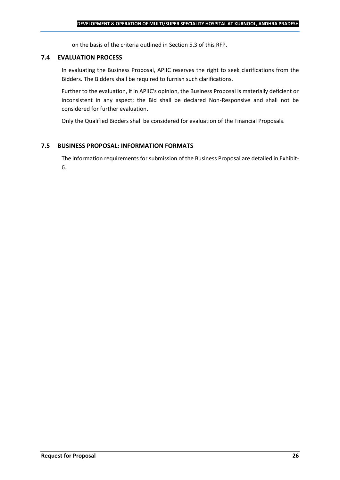on the basis of the criteria outlined in Section 5.3 of this RFP.

#### **7.4 EVALUATION PROCESS**

In evaluating the Business Proposal, APIIC reserves the right to seek clarifications from the Bidders. The Bidders shall be required to furnish such clarifications.

Further to the evaluation, if in APIIC's opinion, the Business Proposal is materially deficient or inconsistent in any aspect; the Bid shall be declared Non-Responsive and shall not be considered for further evaluation.

Only the Qualified Bidders shall be considered for evaluation of the Financial Proposals.

#### **7.5 BUSINESS PROPOSAL: INFORMATION FORMATS**

The information requirements for submission of the Business Proposal are detailed in Exhibit-6.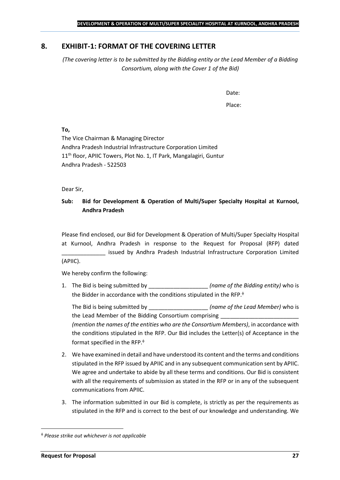## <span id="page-26-0"></span>**8. EXHIBIT-1: FORMAT OF THE COVERING LETTER**

*(The covering letter is to be submitted by the Bidding entity or the Lead Member of a Bidding Consortium, along with the Cover 1 of the Bid)*

Date:

Place:

**To,**

The Vice Chairman & Managing Director Andhra Pradesh Industrial Infrastructure Corporation Limited 11<sup>th</sup> floor, APIIC Towers, Plot No. 1, IT Park, Mangalagiri, Guntur Andhra Pradesh - 522503

Dear Sir,

## **Sub: Bid for Development & Operation of Multi/Super Specialty Hospital at Kurnool, Andhra Pradesh**

Please find enclosed, our Bid for Development & Operation of Multi/Super Specialty Hospital at Kurnool, Andhra Pradesh in response to the Request for Proposal (RFP) dated issued by Andhra Pradesh Industrial Infrastructure Corporation Limited (APIIC).

We hereby confirm the following:

1. The Bid is being submitted by **the intervalle in the Sidding entity**) who is the Bidder in accordance with the conditions stipulated in the RFP.

The Bid is being submitted by **the inclusive in the Solution Contract Contract Contract Contract Contract Contract Contract Contract Contract Contract Contract Contract Contract Contract Contract Contract Contract Contract** the Lead Member of the Bidding Consortium comprising *(mention the names of the entities who are the Consortium Members)*, in accordance with the conditions stipulated in the RFP. Our Bid includes the Letter(s) of Acceptance in the format specified in the RFP.

- 2. We have examined in detail and have understood its content and the terms and conditions stipulated in the RFP issued by APIIC and in any subsequent communication sent by APIIC. We agree and undertake to abide by all these terms and conditions. Our Bid is consistent with all the requirements of submission as stated in the RFP or in any of the subsequent communications from APIIC.
- 3. The information submitted in our Bid is complete, is strictly as per the requirements as stipulated in the RFP and is correct to the best of our knowledge and understanding. We

*Please strike out whichever is not applicable*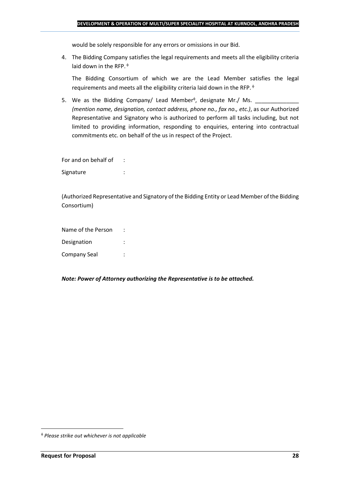would be solely responsible for any errors or omissions in our Bid.

4. The Bidding Company satisfies the legal requirements and meets all the eligibility criteria laid down in the RFP.  $\phi$ 

The Bidding Consortium of which we are the Lead Member satisfies the legal requirements and meets all the eligibility criteria laid down in the RFP.

5. We as the Bidding Company/ Lead Member<sup> $\phi$ </sup>, designate Mr./ Ms.  $\frac{1}{\sqrt{1-\frac{1}{2}}\sqrt{1-\frac{1}{2}}\sqrt{1-\frac{1}{2}}\sqrt{1-\frac{1}{2}}\sqrt{1-\frac{1}{2}}\sqrt{1-\frac{1}{2}}\sqrt{1-\frac{1}{2}}\sqrt{1-\frac{1}{2}}\sqrt{1-\frac{1}{2}}\sqrt{1-\frac{1}{2}}\sqrt{1-\frac{1}{2}}\sqrt{1-\frac{1}{2}}\sqrt{1-\frac{1}{2}}\sqrt{1$ *(mention name, designation, contact address, phone no., fax no., etc.)*, as our Authorized Representative and Signatory who is authorized to perform all tasks including, but not limited to providing information, responding to enquiries, entering into contractual commitments etc. on behalf of the us in respect of the Project.

For and on behalf of : Signature : the state of the state of the state of the state of the state of the state of the state of the state of the state of the state of the state of the state of the state of the state of the state of the state of th

(Authorized Representative and Signatory of the Bidding Entity or Lead Member of the Bidding Consortium)

Name of the Person : Designation : Company Seal :

*Note: Power of Attorney authorizing the Representative is to be attached.*

*Please strike out whichever is not applicable*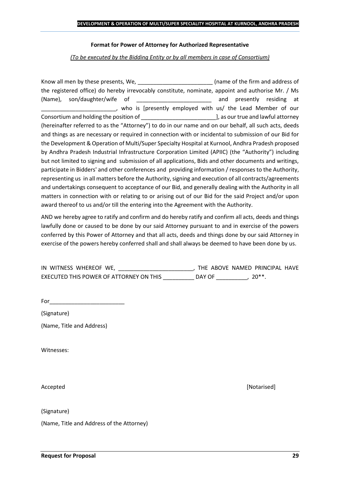#### **Format for Power of Attorney for Authorized Representative**

*(To be executed by the Bidding Entity or by all members in case of Consortium)*

Know all men by these presents, We, the state of the firm and address of the registered office) do hereby irrevocably constitute, nominate, appoint and authorise Mr. / Ms (Name), son/daughter/wife of \_\_\_\_\_\_\_\_\_\_\_\_\_\_\_\_\_\_\_\_\_\_\_\_ and presently residing at who is [presently employed with us/ the Lead Member of our Consortium and holding the position of  $\Box$  . The position of  $\Box$  as our true and lawful attorney (hereinafter referred to as the "Attorney") to do in our name and on our behalf, all such acts, deeds and things as are necessary or required in connection with or incidental to submission of our Bid for the Development & Operation of Multi/Super Specialty Hospital at Kurnool, Andhra Pradesh proposed by Andhra Pradesh Industrial Infrastructure Corporation Limited (APIIC) (the "Authority") including but not limited to signing and submission of all applications, Bids and other documents and writings, participate in Bidders' and other conferences and providing information / responses to the Authority, representing us in all matters before the Authority, signing and execution of all contracts/agreements and undertakings consequent to acceptance of our Bid, and generally dealing with the Authority in all matters in connection with or relating to or arising out of our Bid for the said Project and/or upon award thereof to us and/or till the entering into the Agreement with the Authority.

AND we hereby agree to ratify and confirm and do hereby ratify and confirm all acts, deeds and things lawfully done or caused to be done by our said Attorney pursuant to and in exercise of the powers conferred by this Power of Attorney and that all acts, deeds and things done by our said Attorney in exercise of the powers hereby conferred shall and shall always be deemed to have been done by us.

| IN WITNESS WHEREOF WE,                  |        | THE ABOVE NAMED PRINCIPAL HAVE |  |
|-----------------------------------------|--------|--------------------------------|--|
| EXECUTED THIS POWER OF ATTORNEY ON THIS | DAY OF | $20**$                         |  |

For  $\qquad$ 

(Signature)

(Name, Title and Address)

Witnesses:

(Signature)

(Name, Title and Address of the Attorney)

Accepted **[Notarised] Accepted** *Maximum Maximum Maximum Maximum Maximum <i>Maximum Maximum Maximum <i>Maximum Maximum Maximum <i>Maximum Maximum Maximum <i>Maximum Maximum*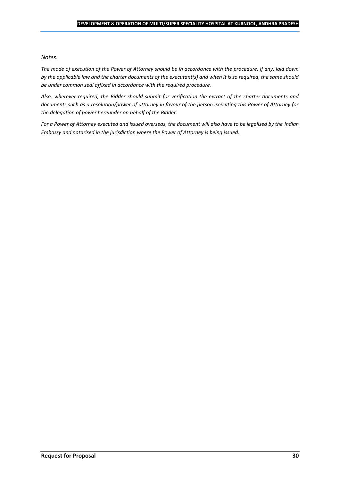#### *Notes:*

*The mode of execution of the Power of Attorney should be in accordance with the procedure, if any, laid down by the applicable law and the charter documents of the executant(s) and when it is so required, the same should be under common seal affixed in accordance with the required procedure*.

*Also, wherever required, the Bidder should submit for verification the extract of the charter documents and documents such as a resolution/power of attorney in favour of the person executing this Power of Attorney for the delegation of power hereunder on behalf of the Bidder.* 

For a Power of Attorney executed and issued overseas, the document will also have to be legalised by the *Indian Embassy and notarised in the jurisdiction where the Power of Attorney is being issued.*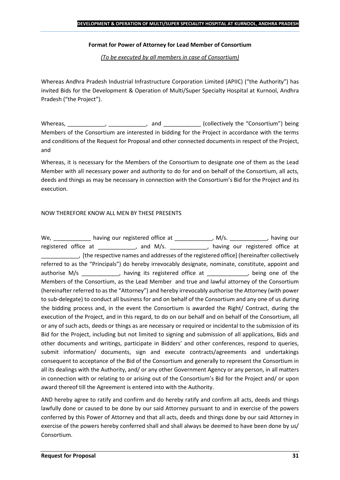### **Format for Power of Attorney for Lead Member of Consortium**

*(To be executed by all members in case of Consortium)*

Whereas Andhra Pradesh Industrial Infrastructure Corporation Limited (APIIC) ("the Authority") has invited Bids for the Development & Operation of Multi/Super Specialty Hospital at Kurnool, Andhra Pradesh ("the Project").

Whereas, \_\_\_\_\_\_\_\_\_\_\_\_, \_\_\_\_\_\_\_\_\_\_\_, and \_\_\_\_\_\_\_\_\_\_\_\_ (collectively the "Consortium") being Members of the Consortium are interested in bidding for the Project in accordance with the terms and conditions of the Request for Proposal and other connected documents in respect of the Project, and

Whereas, it is necessary for the Members of the Consortium to designate one of them as the Lead Member with all necessary power and authority to do for and on behalf of the Consortium, all acts, deeds and things as may be necessary in connection with the Consortium's Bid for the Project and its execution.

## NOW THEREFORE KNOW ALL MEN BY THESE PRESENTS

We, \_\_\_\_\_\_\_\_\_\_\_\_\_ having our registered office at \_\_\_\_\_\_\_\_\_\_\_\_\_, M/s. \_\_\_\_\_\_\_\_\_\_\_, having our registered office at \_\_\_\_\_\_\_\_\_\_\_, and M/s. \_\_\_\_\_\_\_\_\_\_\_, having our registered office at \_\_\_\_\_\_\_\_\_\_\_\_, [the respective names and addresses of the registered office] (hereinafter collectively referred to as the "Principals") do hereby irrevocably designate, nominate, constitute, appoint and authorise M/s \_\_\_\_\_\_\_\_\_\_\_, having its registered office at \_\_\_\_\_\_\_\_\_\_\_, being one of the Members of the Consortium, as the Lead Member and true and lawful attorney of the Consortium (hereinafter referred to as the "Attorney") and hereby irrevocably authorise the Attorney (with power to sub-delegate) to conduct all business for and on behalf of the Consortium and any one of us during the bidding process and, in the event the Consortium is awarded the Right/ Contract, during the execution of the Project, and in this regard, to do on our behalf and on behalf of the Consortium, all or any of such acts, deeds or things as are necessary or required or incidental to the submission of its Bid for the Project, including but not limited to signing and submission of all applications, Bids and other documents and writings, participate in Bidders' and other conferences, respond to queries, submit information/ documents, sign and execute contracts/agreements and undertakings consequent to acceptance of the Bid of the Consortium and generally to represent the Consortium in all its dealings with the Authority, and/ or any other Government Agency or any person, in all matters in connection with or relating to or arising out of the Consortium's Bid for the Project and/ or upon award thereof till the Agreement is entered into with the Authority.

AND hereby agree to ratify and confirm and do hereby ratify and confirm all acts, deeds and things lawfully done or caused to be done by our said Attorney pursuant to and in exercise of the powers conferred by this Power of Attorney and that all acts, deeds and things done by our said Attorney in exercise of the powers hereby conferred shall and shall always be deemed to have been done by us/ Consortium.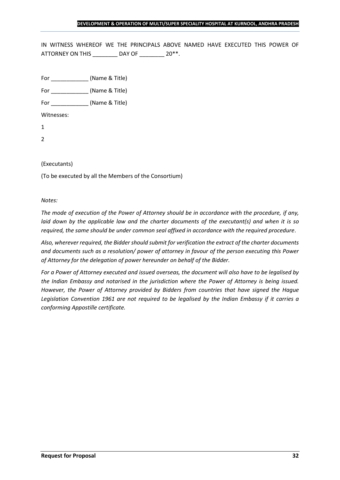IN WITNESS WHEREOF WE THE PRINCIPALS ABOVE NAMED HAVE EXECUTED THIS POWER OF ATTORNEY ON THIS \_\_\_\_\_\_\_\_ DAY OF \_\_\_\_\_\_\_ 20\*\*.

For \_\_\_\_\_\_\_\_\_\_\_\_ (Name & Title)

For  $(Name & Title)$ 

Witnesses:

1

2

## (Executants)

(To be executed by all the Members of the Consortium)

*Notes:* 

*The mode of execution of the Power of Attorney should be in accordance with the procedure, if any, laid down by the applicable law and the charter documents of the executant(s) and when it is so required, the same should be under common seal affixed in accordance with the required procedure*.

*Also, wherever required, the Bidder should submit for verification the extract of the charter documents and documents such as a resolution/ power of attorney in favour of the person executing this Power of Attorney for the delegation of power hereunder on behalf of the Bidder.* 

*For a Power of Attorney executed and issued overseas, the document will also have to be legalised by the Indian Embassy and notarised in the jurisdiction where the Power of Attorney is being issued. However, the Power of Attorney provided by Bidders from countries that have signed the Hague Legislation Convention 1961 are not required to be legalised by the Indian Embassy if it carries a conforming Appostille certificate.*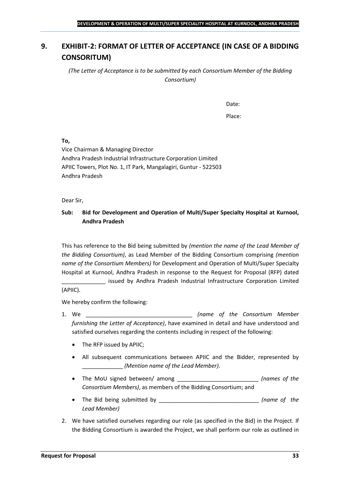## <span id="page-32-0"></span>**9. EXHIBIT-2: FORMAT OF LETTER OF ACCEPTANCE (IN CASE OF A BIDDING CONSORITUM)**

*(The Letter of Acceptance is to be submitted by each Consortium Member of the Bidding Consortium)*

Date:

Place:

**To,**

Vice Chairman & Managing Director Andhra Pradesh Industrial Infrastructure Corporation Limited APIIC Towers, Plot No. 1, IT Park, Mangalagiri, Guntur - 522503 Andhra Pradesh

Dear Sir,

## **Sub: Bid for Development and Operation of Multi/Super Specialty Hospital at Kurnool, Andhra Pradesh**

This has reference to the Bid being submitted by *(mention the name of the Lead Member of the Bidding Consortium)*, as Lead Member of the Bidding Consortium comprising *(mention name of the Consortium Members)* for Development and Operation of Multi/Super Specialty Hospital at Kurnool, Andhra Pradesh in response to the Request for Proposal (RFP) dated

\_\_\_\_\_\_\_\_\_\_\_\_\_\_ issued by Andhra Pradesh Industrial Infrastructure Corporation Limited (APIIC).

We hereby confirm the following:

- 1. We \_\_\_\_\_\_\_\_\_\_\_\_\_\_\_\_\_\_\_\_\_\_\_\_\_\_\_\_\_\_\_\_\_\_ *(name of the Consortium Member furnishing the Letter of Acceptance)*, have examined in detail and have understood and satisfied ourselves regarding the contents including in respect of the following:
	- The RFP issued by APIIC;
	- All subsequent communications between APIIC and the Bidder, represented by \_\_\_\_\_\_\_\_\_\_\_\_\_ *(Mention name of the Lead Member)*.
	- The MoU signed between/ among \_\_\_\_\_\_\_\_\_\_\_\_\_\_\_\_\_\_\_\_\_\_\_\_\_\_ *(names of the Consortium Members)*, as members of the Bidding Consortium; and
	- The Bid being submitted by \_\_\_\_\_\_\_\_\_\_\_\_\_\_\_\_\_\_\_\_\_\_\_\_\_\_\_\_\_\_\_\_ *(name of the Lead Member)*
- 2. We have satisfied ourselves regarding our role (as specified in the Bid) in the Project. If the Bidding Consortium is awarded the Project, we shall perform our role as outlined in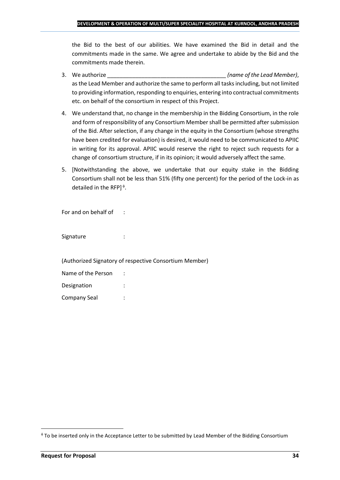the Bid to the best of our abilities. We have examined the Bid in detail and the commitments made in the same. We agree and undertake to abide by the Bid and the commitments made therein.

- 3. We authorize \_\_\_\_\_\_\_\_\_\_\_\_\_\_\_\_\_\_\_\_\_\_\_\_\_\_\_\_\_\_\_\_\_\_\_\_\_\_ *(name of the Lead Member)*, as the Lead Member and authorize the same to perform all tasks including, but not limited to providing information, responding to enquiries, entering into contractual commitments etc. on behalf of the consortium in respect of this Project.
- 4. We understand that, no change in the membership in the Bidding Consortium, in the role and form of responsibility of any Consortium Member shall be permitted after submission of the Bid. After selection, if any change in the equity in the Consortium (whose strengths have been credited for evaluation) is desired, it would need to be communicated to APIIC in writing for its approval. APIIC would reserve the right to reject such requests for a change of consortium structure, if in its opinion; it would adversely affect the same.
- 5. [Notwithstanding the above, we undertake that our equity stake in the Bidding Consortium shall not be less than 51% (fifty one percent) for the period of the Lock-in as detailed in the RFP] $\triangle$ .

For and on behalf of :

Signature : :

(Authorized Signatory of respective Consortium Member)

| Name of the Person |  |
|--------------------|--|
| Designation        |  |
| Company Seal       |  |

To be inserted only in the Acceptance Letter to be submitted by Lead Member of the Bidding Consortium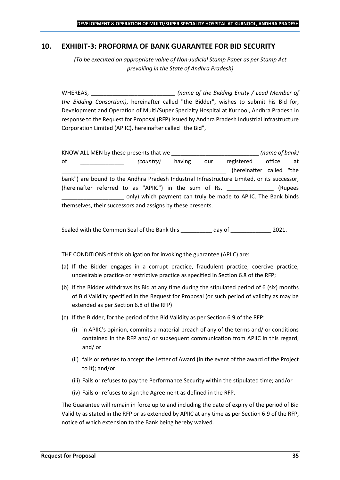## <span id="page-34-0"></span>**10. EXHIBIT-3: PROFORMA OF BANK GUARANTEE FOR BID SECURITY**

*(To be executed on appropriate value of Non-Judicial Stamp Paper as per Stamp Act prevailing in the State of Andhra Pradesh)*

WHEREAS, \_\_\_\_\_\_\_\_\_\_\_\_\_\_\_\_\_\_\_\_\_\_\_\_\_\_\_ *(name of the Bidding Entity / Lead Member of the Bidding Consortium)*, hereinafter called "the Bidder", wishes to submit his Bid for, Development and Operation of Multi/Super Specialty Hospital at Kurnool, Andhra Pradesh in response to the Request for Proposal (RFP) issued by Andhra Pradesh Industrial Infrastructure Corporation Limited (APIIC), hereinafter called "the Bid",

KNOW ALL MEN by these presents that we \_\_\_\_\_\_\_\_\_\_\_\_\_\_\_\_\_\_\_\_\_\_\_\_\_\_\_\_ *(name of bank)* of \_\_\_\_\_\_\_\_\_\_\_\_\_\_ *(country)* having our registered office at (hereinafter called "the bank") are bound to the Andhra Pradesh Industrial Infrastructure Limited, or its successor, (hereinafter referred to as "APIIC") in the sum of Rs. \_\_\_\_\_\_\_\_\_\_\_\_\_\_\_ (Rupees \_\_\_\_\_\_\_\_\_\_\_\_\_\_\_\_\_\_\_\_ only) which payment can truly be made to APIIC. The Bank binds themselves, their successors and assigns by these presents.

Sealed with the Common Seal of the Bank this day of  $\qquad \qquad$  2021.

THE CONDITIONS of this obligation for invoking the guarantee (APIIC) are:

- (a) If the Bidder engages in a corrupt practice, fraudulent practice, coercive practice, undesirable practice or restrictive practice as specified in Section 6.8 of the RFP;
- (b) If the Bidder withdraws its Bid at any time during the stipulated period of 6 (six) months of Bid Validity specified in the Request for Proposal (or such period of validity as may be extended as per Section 6.8 of the RFP)
- (c) If the Bidder, for the period of the Bid Validity as per Section 6.9 of the RFP:
	- (i) in APIIC's opinion, commits a material breach of any of the terms and/ or conditions contained in the RFP and/ or subsequent communication from APIIC in this regard; and/ or
	- (ii) fails or refuses to accept the Letter of Award (in the event of the award of the Project to it); and/or
	- (iii) Fails or refuses to pay the Performance Security within the stipulated time; and/or
	- (iv) Fails or refuses to sign the Agreement as defined in the RFP.

The Guarantee will remain in force up to and including the date of expiry of the period of Bid Validity as stated in the RFP or as extended by APIIC at any time as per Section 6.9 of the RFP, notice of which extension to the Bank being hereby waived.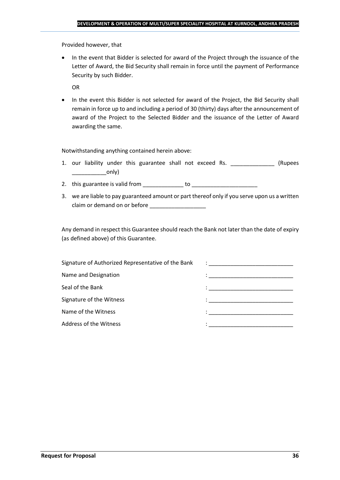Provided however, that

• In the event that Bidder is selected for award of the Project through the issuance of the Letter of Award, the Bid Security shall remain in force until the payment of Performance Security by such Bidder.

OR

• In the event this Bidder is not selected for award of the Project, the Bid Security shall remain in force up to and including a period of 30 (thirty) days after the announcement of award of the Project to the Selected Bidder and the issuance of the Letter of Award awarding the same.

Notwithstanding anything contained herein above:

- 1. our liability under this guarantee shall not exceed Rs. \_\_\_\_\_\_\_\_\_\_\_\_\_\_\_ (Rupees  $\begin{array}{c} \begin{array}{c} \begin{array}{c} \end{array} \end{array}$
- 2. this guarantee is valid from to be to to to the state of the state of the state of the state of the state o
- 3. we are liable to pay guaranteed amount or part thereof only if you serve upon us a written claim or demand on or before

Any demand in respect this Guarantee should reach the Bank not later than the date of expiry (as defined above) of this Guarantee.

| Signature of Authorized Representative of the Bank | $\mathcal{L}=\frac{1}{\sqrt{2\pi}}\left\{ \frac{1}{\sqrt{2\pi}}\right\}$                                                              |
|----------------------------------------------------|---------------------------------------------------------------------------------------------------------------------------------------|
| Name and Designation                               | the contract of the contract of the contract of the contract of the contract of the contract of                                       |
| Seal of the Bank                                   | the control of the control of the control of the control of the control of                                                            |
| Signature of the Witness                           |                                                                                                                                       |
| Name of the Witness                                | en de la componentación de la componentación de la componentación de la componentación de la componentación de<br>A la componentación |
| Address of the Witness                             |                                                                                                                                       |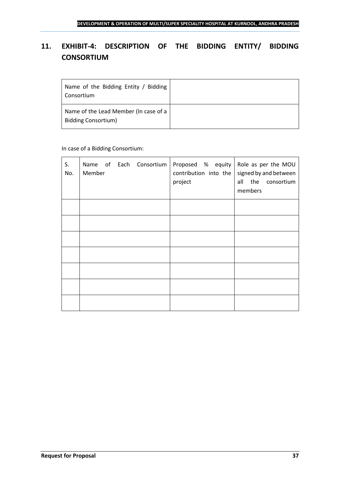## <span id="page-36-0"></span>**11. EXHIBIT-4: DESCRIPTION OF THE BIDDING ENTITY/ BIDDING CONSORTIUM**

| Name of the Bidding Entity / Bidding<br>Consortium                  |  |
|---------------------------------------------------------------------|--|
| Name of the Lead Member (In case of a<br><b>Bidding Consortium)</b> |  |

## In case of a Bidding Consortium:

| S.<br>No. | Name of Each Consortium   Proposed % equity   Role as per the MOU<br>Member | contribution into the<br>project | signed by and between<br>all the consortium<br>members |
|-----------|-----------------------------------------------------------------------------|----------------------------------|--------------------------------------------------------|
|           |                                                                             |                                  |                                                        |
|           |                                                                             |                                  |                                                        |
|           |                                                                             |                                  |                                                        |
|           |                                                                             |                                  |                                                        |
|           |                                                                             |                                  |                                                        |
|           |                                                                             |                                  |                                                        |
|           |                                                                             |                                  |                                                        |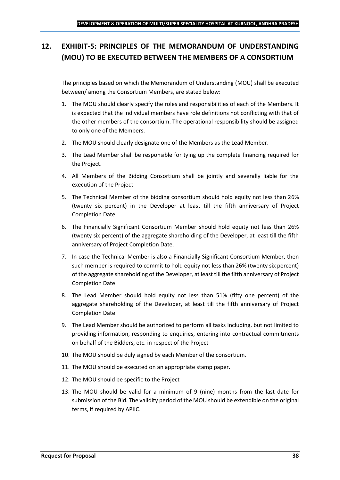## <span id="page-37-0"></span>**12. EXHIBIT-5: PRINCIPLES OF THE MEMORANDUM OF UNDERSTANDING (MOU) TO BE EXECUTED BETWEEN THE MEMBERS OF A CONSORTIUM**

The principles based on which the Memorandum of Understanding (MOU) shall be executed between/ among the Consortium Members, are stated below:

- 1. The MOU should clearly specify the roles and responsibilities of each of the Members. It is expected that the individual members have role definitions not conflicting with that of the other members of the consortium. The operational responsibility should be assigned to only one of the Members.
- 2. The MOU should clearly designate one of the Members as the Lead Member.
- 3. The Lead Member shall be responsible for tying up the complete financing required for the Project.
- 4. All Members of the Bidding Consortium shall be jointly and severally liable for the execution of the Project
- 5. The Technical Member of the bidding consortium should hold equity not less than 26% (twenty six percent) in the Developer at least till the fifth anniversary of Project Completion Date.
- 6. The Financially Significant Consortium Member should hold equity not less than 26% (twenty six percent) of the aggregate shareholding of the Developer, at least till the fifth anniversary of Project Completion Date.
- 7. In case the Technical Member is also a Financially Significant Consortium Member, then such member is required to commit to hold equity not less than 26% (twenty six percent) of the aggregate shareholding of the Developer, at least till the fifth anniversary of Project Completion Date.
- 8. The Lead Member should hold equity not less than 51% (fifty one percent) of the aggregate shareholding of the Developer, at least till the fifth anniversary of Project Completion Date.
- 9. The Lead Member should be authorized to perform all tasks including, but not limited to providing information, responding to enquiries, entering into contractual commitments on behalf of the Bidders, etc. in respect of the Project
- 10. The MOU should be duly signed by each Member of the consortium.
- 11. The MOU should be executed on an appropriate stamp paper.
- 12. The MOU should be specific to the Project
- 13. The MOU should be valid for a minimum of 9 (nine) months from the last date for submission of the Bid. The validity period of the MOU should be extendible on the original terms, if required by APIIC.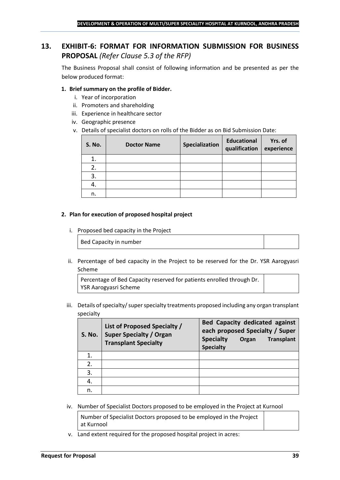## <span id="page-38-0"></span>**13. EXHIBIT-6: FORMAT FOR INFORMATION SUBMISSION FOR BUSINESS PROPOSAL** *(Refer Clause 5.3 of the RFP)*

The Business Proposal shall consist of following information and be presented as per the below produced format:

## **1. Brief summary on the profile of Bidder.**

- i. Year of incorporation
- ii. Promoters and shareholding
- iii. Experience in healthcare sector
- iv. Geographic presence
- v. Details of specialist doctors on rolls of the Bidder as on Bid Submission Date:

| <b>S. No.</b> | <b>Doctor Name</b> | Specialization | <b>Educational</b><br>qualification | Yrs. of<br>experience |
|---------------|--------------------|----------------|-------------------------------------|-----------------------|
| 1.            |                    |                |                                     |                       |
| 2.            |                    |                |                                     |                       |
| 3.            |                    |                |                                     |                       |
| 4.            |                    |                |                                     |                       |
| n.            |                    |                |                                     |                       |

#### **2. Plan for execution of proposed hospital project**

i. Proposed bed capacity in the Project

Bed Capacity in number

ii. Percentage of bed capacity in the Project to be reserved for the Dr. YSR Aarogyasri Scheme

Percentage of Bed Capacity reserved for patients enrolled through Dr. YSR Aarogyasri Scheme

iii. Details of specialty/ super specialty treatments proposed including any organ transplant specialty

| <b>S. No.</b> | List of Proposed Specialty /<br><b>Super Specialty / Organ</b><br><b>Transplant Specialty</b> | <b>Bed Capacity dedicated against</b><br>each proposed Specialty / Super<br><b>Specialty</b><br><b>Transplant</b><br>Organ<br><b>Specialty</b> |
|---------------|-----------------------------------------------------------------------------------------------|------------------------------------------------------------------------------------------------------------------------------------------------|
|               |                                                                                               |                                                                                                                                                |
| 2.            |                                                                                               |                                                                                                                                                |
| 3.            |                                                                                               |                                                                                                                                                |
|               |                                                                                               |                                                                                                                                                |
| n.            |                                                                                               |                                                                                                                                                |

iv. Number of Specialist Doctors proposed to be employed in the Project at Kurnool

Number of Specialist Doctors proposed to be employed in the Project at Kurnool

v. Land extent required for the proposed hospital project in acres: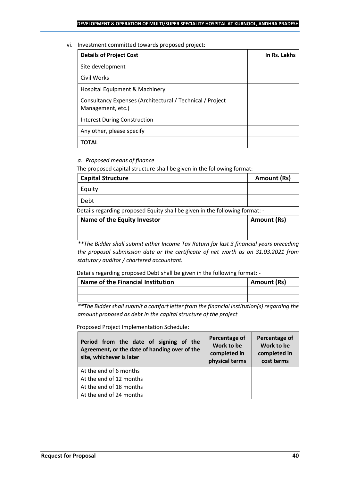#### vi. Investment committed towards proposed project:

| <b>Details of Project Cost</b>                                                 | In Rs. Lakhs |
|--------------------------------------------------------------------------------|--------------|
| Site development                                                               |              |
| Civil Works                                                                    |              |
| Hospital Equipment & Machinery                                                 |              |
| Consultancy Expenses (Architectural / Technical / Project<br>Management, etc.) |              |
| <b>Interest During Construction</b>                                            |              |
| Any other, please specify                                                      |              |
| ΤΟΤΑL                                                                          |              |

## *a. Proposed means of finance*

The proposed capital structure shall be given in the following format:

| <b>Capital Structure</b> | Amount (Rs) |
|--------------------------|-------------|
| Equity                   |             |
| Debt                     |             |

Details regarding proposed Equity shall be given in the following format: -

| Name of the Equity Investor | Amount (Rs) |
|-----------------------------|-------------|
|                             |             |
|                             |             |

*\*\*The Bidder shall submit either Income Tax Return for last 3 financial years preceding the proposal submission date or the certificate of net worth as on 31.03.2021 from statutory auditor / chartered accountant.*

Details regarding proposed Debt shall be given in the following format: -

| Name of the Financial Institution | Amount (Rs) |
|-----------------------------------|-------------|
|                                   |             |
|                                   |             |

*\*\*The Bidder shall submit a comfort letter from the financial institution(s) regarding the amount proposed as debt in the capital structure of the project*

Proposed Project Implementation Schedule:

| Period from the date of signing of the<br>Agreement, or the date of handing over of the<br>site, whichever is later | Percentage of<br>Work to be<br>completed in<br>physical terms | Percentage of<br>Work to be<br>completed in<br>cost terms |
|---------------------------------------------------------------------------------------------------------------------|---------------------------------------------------------------|-----------------------------------------------------------|
| At the end of 6 months                                                                                              |                                                               |                                                           |
| At the end of 12 months                                                                                             |                                                               |                                                           |
| At the end of 18 months                                                                                             |                                                               |                                                           |
| At the end of 24 months                                                                                             |                                                               |                                                           |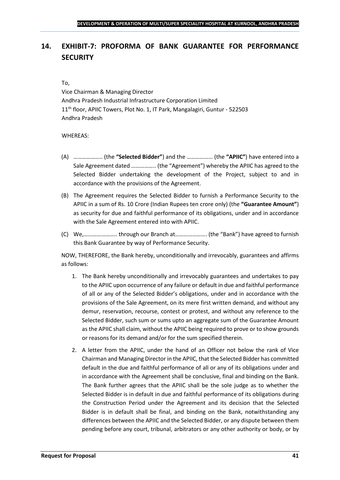## <span id="page-40-0"></span>**14. EXHIBIT-7: PROFORMA OF BANK GUARANTEE FOR PERFORMANCE SECURITY**

#### To,

Vice Chairman & Managing Director Andhra Pradesh Industrial Infrastructure Corporation Limited 11<sup>th</sup> floor, APIIC Towers, Plot No. 1, IT Park, Mangalagiri, Guntur - 522503 Andhra Pradesh

#### WHEREAS:

- (A) ……………….. (the **"Selected Bidder"**) and the ……………… (the **"APIIC"**) have entered into a Sale Agreement dated …………….. (the "Agreement") whereby the APIIC has agreed to the Selected Bidder undertaking the development of the Project, subject to and in accordance with the provisions of the Agreement.
- (B) The Agreement requires the Selected Bidder to furnish a Performance Security to the APIIC in a sum of Rs. 10 Crore (Indian Rupees ten crore only) (the **"Guarantee Amount"**) as security for due and faithful performance of its obligations, under and in accordance with the Sale Agreement entered into with APIIC.
- (C) We,………………….. through our Branch at…………………. (the "Bank") have agreed to furnish this Bank Guarantee by way of Performance Security.

NOW, THEREFORE, the Bank hereby, unconditionally and irrevocably, guarantees and affirms as follows:

- 1. The Bank hereby unconditionally and irrevocably guarantees and undertakes to pay to the APIIC upon occurrence of any failure or default in due and faithful performance of all or any of the Selected Bidder's obligations, under and in accordance with the provisions of the Sale Agreement, on its mere first written demand, and without any demur, reservation, recourse, contest or protest, and without any reference to the Selected Bidder, such sum or sums upto an aggregate sum of the Guarantee Amount as the APIIC shall claim, without the APIIC being required to prove or to show grounds or reasons for its demand and/or for the sum specified therein.
- 2. A letter from the APIIC, under the hand of an Officer not below the rank of Vice Chairman and Managing Director in the APIIC, that the Selected Bidder has committed default in the due and faithful performance of all or any of its obligations under and in accordance with the Agreement shall be conclusive, final and binding on the Bank. The Bank further agrees that the APIIC shall be the sole judge as to whether the Selected Bidder is in default in due and faithful performance of its obligations during the Construction Period under the Agreement and its decision that the Selected Bidder is in default shall be final, and binding on the Bank, notwithstanding any differences between the APIIC and the Selected Bidder, or any dispute between them pending before any court, tribunal, arbitrators or any other authority or body, or by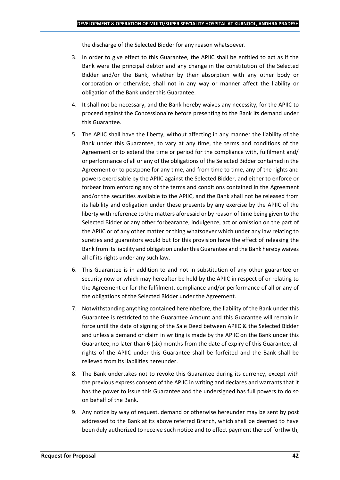the discharge of the Selected Bidder for any reason whatsoever.

- 3. In order to give effect to this Guarantee, the APIIC shall be entitled to act as if the Bank were the principal debtor and any change in the constitution of the Selected Bidder and/or the Bank, whether by their absorption with any other body or corporation or otherwise, shall not in any way or manner affect the liability or obligation of the Bank under this Guarantee.
- 4. It shall not be necessary, and the Bank hereby waives any necessity, for the APIIC to proceed against the Concessionaire before presenting to the Bank its demand under this Guarantee.
- 5. The APIIC shall have the liberty, without affecting in any manner the liability of the Bank under this Guarantee, to vary at any time, the terms and conditions of the Agreement or to extend the time or period for the compliance with, fulfilment and/ or performance of all or any of the obligations of the Selected Bidder contained in the Agreement or to postpone for any time, and from time to time, any of the rights and powers exercisable by the APIIC against the Selected Bidder, and either to enforce or forbear from enforcing any of the terms and conditions contained in the Agreement and/or the securities available to the APIIC, and the Bank shall not be released from its liability and obligation under these presents by any exercise by the APIIC of the liberty with reference to the matters aforesaid or by reason of time being given to the Selected Bidder or any other forbearance, indulgence, act or omission on the part of the APIIC or of any other matter or thing whatsoever which under any law relating to sureties and guarantors would but for this provision have the effect of releasing the Bank from its liability and obligation under this Guarantee and the Bank hereby waives all of its rights under any such law.
- 6. This Guarantee is in addition to and not in substitution of any other guarantee or security now or which may hereafter be held by the APIIC in respect of or relating to the Agreement or for the fulfilment, compliance and/or performance of all or any of the obligations of the Selected Bidder under the Agreement.
- 7. Notwithstanding anything contained hereinbefore, the liability of the Bank under this Guarantee is restricted to the Guarantee Amount and this Guarantee will remain in force until the date of signing of the Sale Deed between APIIC & the Selected Bidder and unless a demand or claim in writing is made by the APIIC on the Bank under this Guarantee, no later than 6 (six) months from the date of expiry of this Guarantee, all rights of the APIIC under this Guarantee shall be forfeited and the Bank shall be relieved from its liabilities hereunder.
- 8. The Bank undertakes not to revoke this Guarantee during its currency, except with the previous express consent of the APIIC in writing and declares and warrants that it has the power to issue this Guarantee and the undersigned has full powers to do so on behalf of the Bank.
- 9. Any notice by way of request, demand or otherwise hereunder may be sent by post addressed to the Bank at its above referred Branch, which shall be deemed to have been duly authorized to receive such notice and to effect payment thereof forthwith,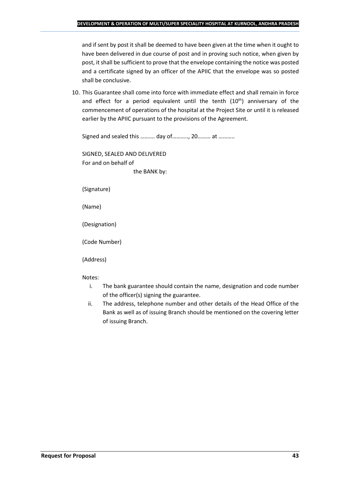and if sent by post it shall be deemed to have been given at the time when it ought to have been delivered in due course of post and in proving such notice, when given by post, it shall be sufficient to prove that the envelope containing the notice was posted and a certificate signed by an officer of the APIIC that the envelope was so posted shall be conclusive.

10. This Guarantee shall come into force with immediate effect and shall remain in force and effect for a period equivalent until the tenth  $(10<sup>th</sup>)$  anniversary of the commencement of operations of the hospital at the Project Site or until it is released earlier by the APIIC pursuant to the provisions of the Agreement.

Signed and sealed this ………. day of……….., 20……… at ………..

SIGNED, SEALED AND DELIVERED For and on behalf of the BANK by:

(Signature)

(Name)

(Designation)

(Code Number)

(Address)

Notes:

- i. The bank guarantee should contain the name, designation and code number of the officer(s) signing the guarantee.
- ii. The address, telephone number and other details of the Head Office of the Bank as well as of issuing Branch should be mentioned on the covering letter of issuing Branch.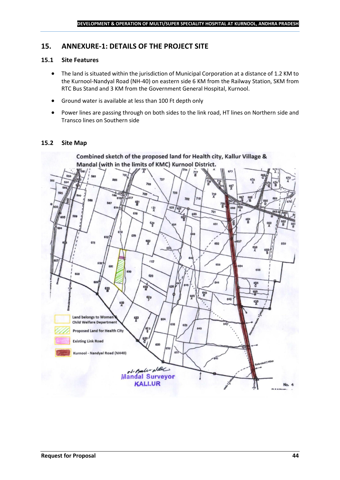## <span id="page-43-0"></span>**15. ANNEXURE-1: DETAILS OF THE PROJECT SITE**

## **15.1 Site Features**

- The land is situated within the jurisdiction of Municipal Corporation at a distance of 1.2 KM to the Kurnool-Nandyal Road (NH-40) on eastern side 6 KM from the Railway Station, SKM from RTC Bus Stand and 3 KM from the Government General Hospital, Kurnool.
- Ground water is available at less than 100 Ft depth only
- Power lines are passing through on both sides to the link road, HT lines on Northern side and Transco lines on Southern side

## **15.2 Site Map**

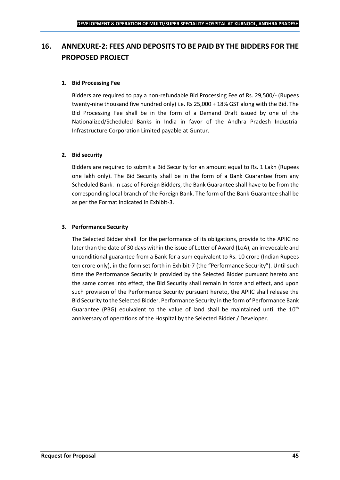## <span id="page-44-0"></span>**16. ANNEXURE-2: FEES AND DEPOSITS TO BE PAID BY THE BIDDERS FOR THE PROPOSED PROJECT**

## **1. Bid Processing Fee**

Bidders are required to pay a non-refundable Bid Processing Fee of Rs. 29,500/- (Rupees twenty-nine thousand five hundred only) i.e. Rs 25,000 + 18% GST along with the Bid. The Bid Processing Fee shall be in the form of a Demand Draft issued by one of the Nationalized/Scheduled Banks in India in favor of the Andhra Pradesh Industrial Infrastructure Corporation Limited payable at Guntur.

## **2. Bid security**

Bidders are required to submit a Bid Security for an amount equal to Rs. 1 Lakh (Rupees one lakh only). The Bid Security shall be in the form of a Bank Guarantee from any Scheduled Bank. In case of Foreign Bidders, the Bank Guarantee shall have to be from the corresponding local branch of the Foreign Bank. The form of the Bank Guarantee shall be as per the Format indicated in Exhibit-3.

## **3. Performance Security**

The Selected Bidder shall for the performance of its obligations, provide to the APIIC no later than the date of 30 days within the issue of Letter of Award (LoA), an irrevocable and unconditional guarantee from a Bank for a sum equivalent to Rs. 10 crore (Indian Rupees ten crore only), in the form set forth in Exhibit-7 (the "Performance Security"). Until such time the Performance Security is provided by the Selected Bidder pursuant hereto and the same comes into effect, the Bid Security shall remain in force and effect, and upon such provision of the Performance Security pursuant hereto, the APIIC shall release the Bid Security to the Selected Bidder. Performance Security in the form of Performance Bank Guarantee (PBG) equivalent to the value of land shall be maintained until the  $10^{th}$ anniversary of operations of the Hospital by the Selected Bidder / Developer.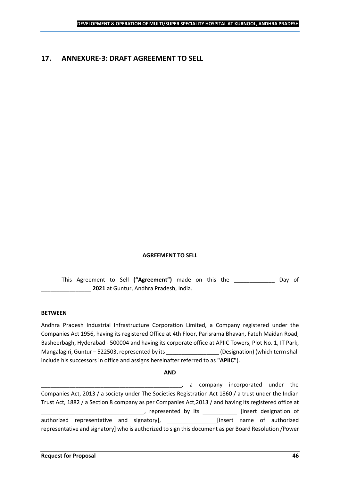## <span id="page-45-0"></span>**17. ANNEXURE-3: DRAFT AGREEMENT TO SELL**

#### **AGREEMENT TO SELL**

This Agreement to Sell **("Agreement")** made on this the \_\_\_\_\_\_\_\_\_\_\_\_\_ Day of \_\_\_\_\_\_\_\_\_\_\_\_\_\_\_\_ **2021** at Guntur, Andhra Pradesh, India.

#### **BETWEEN**

Andhra Pradesh Industrial Infrastructure Corporation Limited, a Company registered under the Companies Act 1956, having its registered Office at 4th Floor, Parisrama Bhavan, Fateh Maidan Road, Basheerbagh, Hyderabad - 500004 and having its corporate office at APIIC Towers, Plot No. 1, IT Park, Mangalagiri, Guntur – 522503, represented by its \_\_\_\_\_\_\_\_\_\_\_\_\_\_\_\_\_\_\_\_\_\_\_\_\_\_\_\_\_\_\_\_<br>(Designation) (which term shall include his successors in office and assigns hereinafter referred to as **"APIIC"**).

#### **AND**

\_\_\_\_\_\_\_\_\_\_\_\_\_\_\_\_\_\_\_\_\_\_\_\_\_\_\_\_\_\_\_\_\_\_\_\_\_\_\_\_\_\_\_\_\_, a company incorporated under the Companies Act, 2013 / a society under The Societies Registration Act 1860 / a trust under the Indian Trust Act, 1882 / a Section 8 company as per Companies Act,2013 / and having its registered office at \_\_\_\_\_, represented by its \_\_\_\_\_\_\_\_\_\_\_\_\_ [insert designation of authorized representative and signatory], \_\_\_\_\_\_\_\_\_\_\_\_\_\_\_\_[insert name of authorized representative and signatory] who is authorized to sign this document as per Board Resolution /Power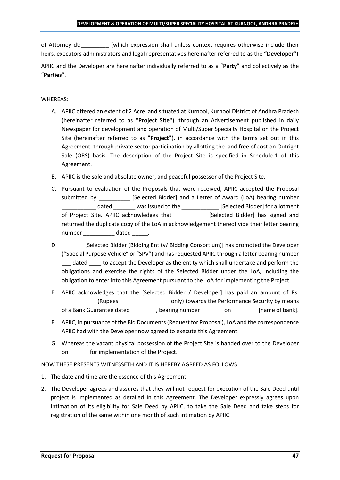of Attorney dt:  $(which expression shall unless context requires otherwise include their$ heirs, executors administrators and legal representatives hereinafter referred to as the **"Developer"**)

APIIC and the Developer are hereinafter individually referred to as a "**Party**" and collectively as the "**Parties**".

## WHEREAS:

- A. APIIC offered an extent of 2 Acre land situated at Kurnool, Kurnool District of Andhra Pradesh (hereinafter referred to as **"Project Site"**), through an Advertisement published in daily Newspaper for development and operation of Multi/Super Specialty Hospital on the Project Site (hereinafter referred to as **"Project"**), in accordance with the terms set out in this Agreement, through private sector participation by allotting the land free of cost on Outright Sale (ORS) basis. The description of the Project Site is specified in Schedule-1 of this Agreement.
- B. APIIC is the sole and absolute owner, and peaceful possessor of the Project Site.
- C. Pursuant to evaluation of the Proposals that were received, APIIC accepted the Proposal submitted by [Selected Bidder] and a Letter of Award (LoA) bearing number \_\_\_\_\_\_\_\_\_\_\_ dated \_\_\_\_\_\_\_ was issued to the \_\_\_\_\_\_\_\_\_\_\_\_ [Selected Bidder] for allotment of Project Site. APIIC acknowledges that [Selected Bidder] has signed and returned the duplicate copy of the LoA in acknowledgement thereof vide their letter bearing number dated the dated and the dated the set of  $\alpha$
- D. \_\_\_\_\_\_\_ [Selected Bidder (Bidding Entity/ Bidding Consortium)] has promoted the Developer ("Special Purpose Vehicle" or "SPV") and has requested APIIC through a letter bearing number dated to accept the Developer as the entity which shall undertake and perform the obligations and exercise the rights of the Selected Bidder under the LoA, including the obligation to enter into this Agreement pursuant to the LoA for implementing the Project.
- E. APIIC acknowledges that the [Selected Bidder / Developer] has paid an amount of Rs. \_\_\_\_\_\_\_\_\_\_\_ (Rupees \_\_\_\_\_\_\_\_\_\_\_\_\_\_\_\_ only) towards the Performance Security by means of a Bank Guarantee dated bearing number on the lame of bank].
- F. APIIC, in pursuance of the Bid Documents (Request for Proposal), LoA and the correspondence APIIC had with the Developer now agreed to execute this Agreement.
- G. Whereas the vacant physical possession of the Project Site is handed over to the Developer on \_\_\_\_\_\_ for implementation of the Project.

## NOW THESE PRESENTS WITNESSETH AND IT IS HEREBY AGREED AS FOLLOWS:

- 1. The date and time are the essence of this Agreement.
- 2. The Developer agrees and assures that they will not request for execution of the Sale Deed until project is implemented as detailed in this Agreement. The Developer expressly agrees upon intimation of its eligibility for Sale Deed by APIIC, to take the Sale Deed and take steps for registration of the same within one month of such intimation by APIIC.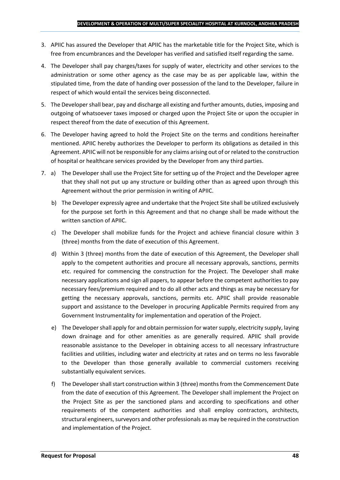- 3. APIIC has assured the Developer that APIIC has the marketable title for the Project Site, which is free from encumbrances and the Developer has verified and satisfied itself regarding the same.
- 4. The Developer shall pay charges/taxes for supply of water, electricity and other services to the administration or some other agency as the case may be as per applicable law, within the stipulated time, from the date of handing over possession of the land to the Developer, failure in respect of which would entail the services being disconnected.
- 5. The Developer shall bear, pay and discharge all existing and further amounts, duties, imposing and outgoing of whatsoever taxes imposed or charged upon the Project Site or upon the occupier in respect thereof from the date of execution of this Agreement.
- 6. The Developer having agreed to hold the Project Site on the terms and conditions hereinafter mentioned. APIIC hereby authorizes the Developer to perform its obligations as detailed in this Agreement. APIIC will not be responsible for any claims arising out of or related to the construction of hospital or healthcare services provided by the Developer from any third parties.
- 7. a) The Developer shall use the Project Site for setting up of the Project and the Developer agree that they shall not put up any structure or building other than as agreed upon through this Agreement without the prior permission in writing of APIIC.
	- b) The Developer expressly agree and undertake that the Project Site shall be utilized exclusively for the purpose set forth in this Agreement and that no change shall be made without the written sanction of APIIC.
	- c) The Developer shall mobilize funds for the Project and achieve financial closure within 3 (three) months from the date of execution of this Agreement.
	- d) Within 3 (three) months from the date of execution of this Agreement, the Developer shall apply to the competent authorities and procure all necessary approvals, sanctions, permits etc. required for commencing the construction for the Project. The Developer shall make necessary applications and sign all papers, to appear before the competent authorities to pay necessary fees/premium required and to do all other acts and things as may be necessary for getting the necessary approvals, sanctions, permits etc. APIIC shall provide reasonable support and assistance to the Developer in procuring Applicable Permits required from any Government Instrumentality for implementation and operation of the Project.
	- e) The Developer shall apply for and obtain permission for water supply, electricity supply, laying down drainage and for other amenities as are generally required. APIIC shall provide reasonable assistance to the Developer in obtaining access to all necessary infrastructure facilities and utilities, including water and electricity at rates and on terms no less favorable to the Developer than those generally available to commercial customers receiving substantially equivalent services.
	- f) The Developer shall start construction within 3 (three) months from the Commencement Date from the date of execution of this Agreement. The Developer shall implement the Project on the Project Site as per the sanctioned plans and according to specifications and other requirements of the competent authorities and shall employ contractors, architects, structural engineers, surveyors and other professionals as may be required in the construction and implementation of the Project.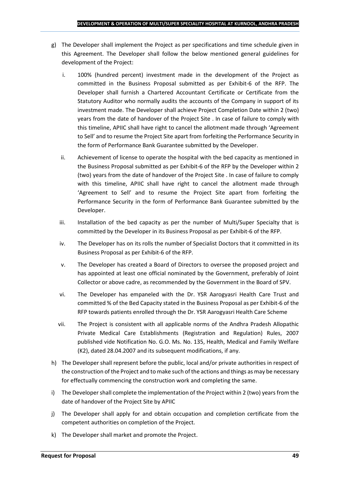- g) The Developer shall implement the Project as per specifications and time schedule given in this Agreement. The Developer shall follow the below mentioned general guidelines for development of the Project:
	- i. 100% (hundred percent) investment made in the development of the Project as committed in the Business Proposal submitted as per Exhibit-6 of the RFP. The Developer shall furnish a Chartered Accountant Certificate or Certificate from the Statutory Auditor who normally audits the accounts of the Company in support of its investment made. The Developer shall achieve Project Completion Date within 2 (two) years from the date of handover of the Project Site . In case of failure to comply with this timeline, APIIC shall have right to cancel the allotment made through 'Agreement to Sell' and to resume the Project Site apart from forfeiting the Performance Security in the form of Performance Bank Guarantee submitted by the Developer.
	- ii. Achievement of license to operate the hospital with the bed capacity as mentioned in the Business Proposal submitted as per Exhibit-6 of the RFP by the Developer within 2 (two) years from the date of handover of the Project Site . In case of failure to comply with this timeline, APIIC shall have right to cancel the allotment made through 'Agreement to Sell' and to resume the Project Site apart from forfeiting the Performance Security in the form of Performance Bank Guarantee submitted by the Developer.
	- iii. Installation of the bed capacity as per the number of Multi/Super Specialty that is committed by the Developer in its Business Proposal as per Exhibit-6 of the RFP.
	- iv. The Developer has on its rolls the number of Specialist Doctors that it committed in its Business Proposal as per Exhibit-6 of the RFP.
	- v. The Developer has created a Board of Directors to oversee the proposed project and has appointed at least one official nominated by the Government, preferably of Joint Collector or above cadre, as recommended by the Government in the Board of SPV.
	- vi. The Developer has empaneled with the Dr. YSR Aarogyasri Health Care Trust and committed % of the Bed Capacity stated in the Business Proposal as per Exhibit-6 of the RFP towards patients enrolled through the Dr. YSR Aarogyasri Health Care Scheme
	- vii. The Project is consistent with all applicable norms of the Andhra Pradesh Allopathic Private Medical Care Establishments (Registration and Regulation) Rules, 2007 published vide Notification No. G.O. Ms. No. 135, Health, Medical and Family Welfare (K2), dated 28.04.2007 and its subsequent modifications, if any.
- h) The Developer shall represent before the public, local and/or private authorities in respect of the construction of the Project and to make such of the actions and things as may be necessary for effectually commencing the construction work and completing the same.
- i) The Developer shall complete the implementation of the Project within 2 (two) years from the date of handover of the Project Site by APIIC
- j) The Developer shall apply for and obtain occupation and completion certificate from the competent authorities on completion of the Project.
- k) The Developer shall market and promote the Project.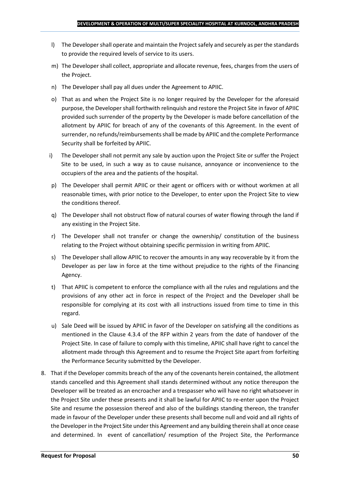- l) The Developer shall operate and maintain the Project safely and securely as per the standards to provide the required levels of service to its users.
- m) The Developer shall collect, appropriate and allocate revenue, fees, charges from the users of the Project.
- n) The Developer shall pay all dues under the Agreement to APIIC.
- o) That as and when the Project Site is no longer required by the Developer for the aforesaid purpose, the Developer shall forthwith relinquish and restore the Project Site in favor of APIIC provided such surrender of the property by the Developer is made before cancellation of the allotment by APIIC for breach of any of the covenants of this Agreement. In the event of surrender, no refunds/reimbursements shall be made by APIIC and the complete Performance Security shall be forfeited by APIIC.
- i) The Developer shall not permit any sale by auction upon the Project Site or suffer the Project Site to be used, in such a way as to cause nuisance, annoyance or inconvenience to the occupiers of the area and the patients of the hospital.
- p) The Developer shall permit APIIC or their agent or officers with or without workmen at all reasonable times, with prior notice to the Developer, to enter upon the Project Site to view the conditions thereof.
- q) The Developer shall not obstruct flow of natural courses of water flowing through the land if any existing in the Project Site.
- r) The Developer shall not transfer or change the ownership/ constitution of the business relating to the Project without obtaining specific permission in writing from APIIC.
- s) The Developer shall allow APIIC to recover the amounts in any way recoverable by it from the Developer as per law in force at the time without prejudice to the rights of the Financing Agency.
- t) That APIIC is competent to enforce the compliance with all the rules and regulations and the provisions of any other act in force in respect of the Project and the Developer shall be responsible for complying at its cost with all instructions issued from time to time in this regard.
- u) Sale Deed will be issued by APIIC in favor of the Developer on satisfying all the conditions as mentioned in the Clause 4.3.4 of the RFP within 2 years from the date of handover of the Project Site. In case of failure to comply with this timeline, APIIC shall have right to cancel the allotment made through this Agreement and to resume the Project Site apart from forfeiting the Performance Security submitted by the Developer.
- 8. That if the Developer commits breach of the any of the covenants herein contained, the allotment stands cancelled and this Agreement shall stands determined without any notice thereupon the Developer will be treated as an encroacher and a trespasser who will have no right whatsoever in the Project Site under these presents and it shall be lawful for APIIC to re-enter upon the Project Site and resume the possession thereof and also of the buildings standing thereon, the transfer made in favour of the Developer under these presents shall become null and void and all rights of the Developer in the Project Site under this Agreement and any building therein shall at once cease and determined. In event of cancellation/ resumption of the Project Site, the Performance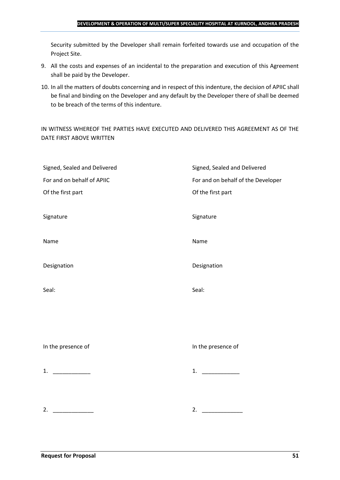#### **DEVELOPMENT & OPERATION OF MULTI/SUPER SPECIALITY HOSPITAL AT KURNOOL, ANDHRA PRADESH**

Security submitted by the Developer shall remain forfeited towards use and occupation of the Project Site.

- 9. All the costs and expenses of an incidental to the preparation and execution of this Agreement shall be paid by the Developer.
- 10. In all the matters of doubts concerning and in respect of this indenture, the decision of APIIC shall be final and binding on the Developer and any default by the Developer there of shall be deemed to be breach of the terms of this indenture.

IN WITNESS WHEREOF THE PARTIES HAVE EXECUTED AND DELIVERED THIS AGREEMENT AS OF THE DATE FIRST ABOVE WRITTEN

| Signed, Sealed and Delivered<br>For and on behalf of APIIC | Signed, Sealed and Delivered                            |
|------------------------------------------------------------|---------------------------------------------------------|
| Of the first part                                          | For and on behalf of the Developer<br>Of the first part |
|                                                            |                                                         |
| Signature                                                  | Signature                                               |
| Name                                                       | Name                                                    |
| Designation                                                | Designation                                             |
| Seal:                                                      | Seal:                                                   |
|                                                            |                                                         |
|                                                            |                                                         |
| In the presence of                                         | In the presence of                                      |
| 1. $\qquad$                                                | 1. $\qquad$                                             |
|                                                            |                                                         |
| 2.                                                         | 2.                                                      |
|                                                            |                                                         |